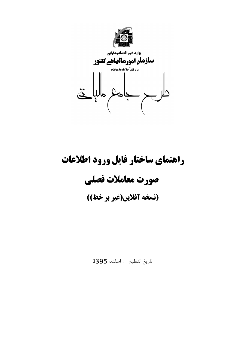

وزارت امور اقتصاد ودارابے سازمار امورمالیانے کنتور مرتز فناوراًطلاعات وارتباطات  $\ddot{\mathbb{E}}$ جاحكم حالباً. طر

# راهنماي ساختار فايل ورود اطلاعات صورت معاملات فصلى (نسخه آفلاین(غیر بر خط))

تاريخ تنظيم : اسفند 1395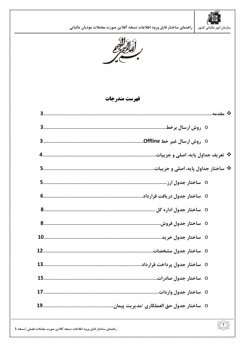

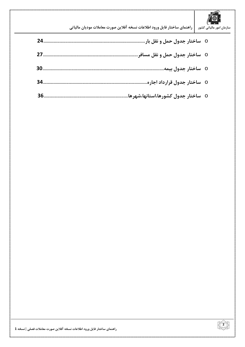

۔۔۔۔۔۔۔۔۔۔۔۔۔۔۔۔۔۔۔۔۔۔۔۔۔۔۔۔۔۔۔<br>سازمان امور مالیاتی کشور ۔۔۔ اراهنمای ساختار فایل ورود اطلاعات نسخه آفلاین صورت معاملات مودیان مالیاتی

|     | ○ ساختار جدول حمل و نقل بار         |
|-----|-------------------------------------|
|     | ○ ساختار جدول حمل و نقل مسافر       |
| 30. | ⊙۔ ساختار جدول بیمه.                |
| 34  | o   ساختار جدول قرارداد اجاره.      |
| 36. | ○ ساختار جدول کشورها،استانها،شهرها. |

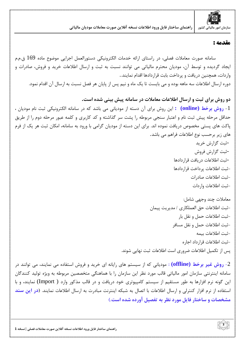

راهنماي ساختار فايل ورود اطلاعات نسخه آفلاين صورت معاملات موديان مالياتي سازمان امور مالیاتی کشور

#### مقدمه :

سامانه صورت معاملات فصلی، در راستای ارائه خدمات الکترونیکی دستورالعمل اجرایی موضوع ماده 169 ق.م.م ایجاد گردیده و توسط آن، مودیان محترم مالیاتی می توانند نسبت به ثبت و ارسال اطلاعات خرید و فروش، صادرات و واردات، همچنین دریافت و پرداخت بابت قراردادها اقدام نمایند..

دوره ارسال اطلاعات سه ماهه بوده و می بایست تا یک ماه و نیم پس از پایان هر فصل نسبت به ارسال آن اقدام نمود.

دو روش برای ثبت و ارسال اطلاعات معاملات در سامانه پیش بینی شده است. 1- روش برخط (online) : این روش برای آن دسته از مودیانی می باشد که در سامانه الکترونیکی ثبت نام مودیان ، حداقل مرحله پیش ثبت نام و اعتبار سنجی مربوطه را پشت سر گذاشته و کد کاربری و کلمه عبور مرحله دوم را از طریق پاکت های پستی مخصوص دریافت نموده اند. برای این دسته از مودیان گرامی با ورود به سامانه، امکان ثبت هر یک از فرم های زیر برحسب نوع اطلاعات فراهم می باشد. -ثبت گزارش خرید

> -ثبت گزارش فروش -ثبت اطلاعات دريافت قرار دادها -ثبت اطلاعات يرداخت قرار دادها -ثبت اطلاعات صادرات -ثبت اطلاعات واردات

معاملات چند وجهي شامل: -ثبت اطلاعات حق العملكاري / مديريت پيمان -ثبت اطلاعات حمل و نقل بار -ثبت اطلاعات حمل و نقل مسافر -ثىت اطلاعات ىىمە -ثبت اطلاعات قرار داد اجاره یس از تکمیل اطلاعات ضروری است اطلاعات ثبت نهایی شوند.

2- **روش غیر برخط (offline**) : مودیانی که از سیستم های رایانه ای خرید و فروش استفاده می نمایند، می توانند در سامانه اینترنتی سازمان امور مالیاتی قالب مورد نظر این سازمان را با هماهنگی متخصصین مربوطه به ویژه تولید کنندگان این گونه نرم افزارها به طور مستقیم از سیستم کامپیوتری خود دریافت و در قالب مذکور وارد ( Import) نمایند، و با استفاده از نرم افزار كنترلي و ارسال اطلاعات با اتصال به شبكه اينترنت مبادرت به ارسال اطلاعات نمايند. (<mark>در اين سند</mark> مشخصات و ساختار فایل مورد نظر به تفصیل آورده شده است.)

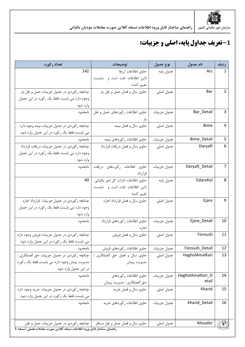

## **1-تعریف جداول پایه، اصلی و جزییات:**

| تعداد ركورد                                                             | توضيحات                             | نوع جدول    | نام جدول         | رديف           |
|-------------------------------------------------------------------------|-------------------------------------|-------------|------------------|----------------|
| 142                                                                     | حاوى اطلاعات ارزها                  | جدول پايه   | Arz              | 1              |
|                                                                         | (این اطلاعات ثابت است و نبایست      |             |                  |                |
|                                                                         | تغيير كند)                          |             |                  |                |
| چنانچه رکوردی در جدول جزییات حمل و نقل بار                              | حاوي سال و فصل حمل و نقل بار        | جدول اصلى   | Bar              | $\overline{2}$ |
| وجود دارد می بایست فقط یک رکورد در این جدول                             |                                     |             |                  |                |
| وارد شود                                                                |                                     |             |                  |                |
| نامحدود                                                                 | حاوی اطلاعات رکوردهای حمل و نقل     | جدول جزييات | Bar_Detail       | 3              |
|                                                                         |                                     |             |                  |                |
| چنانچه رکوردی در جدول جزییات بیمه وجود دارد                             | حاوي سال و فصل بيمه                 | جدول اصلى   | <b>Bime</b>      | 4              |
| می بایست فقط یک رکورد در این جدول وارد شود                              |                                     |             |                  |                |
| نامحدود                                                                 | حاوي اطلاعات ركوردهاي بيمه          | جدول جزييات | Bime_Detail      | 5              |
| چنانچه رکوردی در جدول جزییات دریافت قرارداد                             | حاوی سال و فصل دریافت قرارداد       | جدول اصلى   | Daryaft          | 6              |
| وجود دارد می بایست فقط یک رکورد در این جدول                             |                                     |             |                  |                |
| وارد شود                                                                |                                     |             |                  |                |
| نامحدود                                                                 | حاوى اطلاعات ركوردهاى دريافت        | جدول جزييات | Daryaft_Detail   | 7              |
|                                                                         | قرارداد                             |             |                  |                |
| 40                                                                      | حاوي اطلاعات ادارات كل امور مالياتي | جدول پايه   | EdareKol         | 8              |
|                                                                         | (این اطلاعات ثابت است و نبایست      |             |                  |                |
|                                                                         | تغيير كند)                          |             |                  |                |
| چنانچه رکوردی در جدول جزییات قرارداد اجاره                              | حاوی سال و فصل قرارداد اجاره        | جدول اصلى   | Ejare            | 9              |
| وجود دارد می بایست فقط یک رکورد در این جدول                             |                                     |             |                  |                |
| وارد شود                                                                |                                     |             |                  |                |
| نامحدود                                                                 | حاوى اطلاعات ركوردهاى قرارداد       | جدول جزييات | Ejare_Detail     | 10             |
|                                                                         | اجاره                               |             |                  |                |
| چنانچه رکوردی در جدول جزییات فروش وجود دارد                             | حاوی سال و فصل فروش                 | جدول اصلى   | Foroush          | 11             |
| می بایست فقط یک رکورد در این جدول وارد شود                              |                                     |             |                  |                |
| نامحدود                                                                 | حاوى اطلاعات ركوردهاى فروش          | جدول جزييات | Foroush_Detail   | 12             |
| چنانچه رکوردي در جدول جزييات حق العملكاري /                             | حاوى سال و فصل حق العملكاري         | جدول اصلى   | HagholAmalKari   | 13             |
| مدیریت پیمان وجود دارد می بایست فقط یک رکورد                            | مديريت پيمان                        |             |                  |                |
| در این جدول وارد شود                                                    |                                     |             |                  |                |
| نامحدود                                                                 | حاوى اطلاعات ركوردهاى               | جدول جزييات | HagholAmalKari_D | 14             |
|                                                                         | حق العملكاري / مديريت پيمان         |             | etail            |                |
| چنانچه رکوردی در جدول جزییات خرید وجود دارد                             | حاوي سال و فصل خريد                 | جدول اصلى   | Kharid           | 15             |
| می بایست فقط یک رکورد در این جدول وارد شود                              |                                     |             |                  |                |
| نامحدود                                                                 | حاوى اطلاعات ركوردهاى خريد          | جدول جزييات | Kharid_Detail    | 16             |
|                                                                         |                                     |             |                  |                |
|                                                                         |                                     |             |                  |                |
| چنانچه رکوردی در جدول جزییات حمل و نقل                                  | حاوی سال و فصل حمل و نقل مسافر      | جدول اصلى   | Mosafer          |                |
| راهنمای ساختار فایل ورود اطلاعات نسخه آفلاین صورت معاملات فصلی   نسخه 1 |                                     |             |                  |                |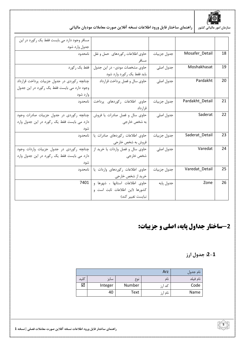

| مسافر وجود دارد می بایست فقط یک رکورد در این |                                  |             |                 |    |
|----------------------------------------------|----------------------------------|-------------|-----------------|----|
| جدول وارد شود                                |                                  |             |                 |    |
| نامحدود                                      | حاوی اطلاعات رکوردهای حمل و نقل  | جدول جزييات | Mosafer_Detail  | 18 |
|                                              | مسافر                            |             |                 |    |
| فقط يک رکورد                                 | حاوی مشخصات مودی- در این جدول    | جدول اصلى   | Moshakhasat     | 19 |
|                                              | باید فقط یک رکورد وارد شود       |             |                 |    |
| چنانچه رکوردی در جدول جزییات پرداخت قرارداد  | حاوی سال و فصل پرداخت قرارداد    | جدول اصلى   | Pardakht        | 20 |
| وجود دارد می بایست فقط یک رکورد در این جدول  |                                  |             |                 |    |
| وارد شود                                     |                                  |             |                 |    |
| نامحدود                                      | حاوی اطلاعات رکوردهای پرداخت     | جدول جزييات | Pardakht_Detail | 21 |
|                                              | قرار داد                         |             |                 |    |
| چنانچه رکوردی در جدول جزییات صادرات وجود     | حاوی سال و فصل صادرات یا فروش    | جدول اصلى   | Saderat         | 22 |
| دارد می بایست فقط یک رکورد در این جدول وارد  | به شخص خارجي                     |             |                 |    |
|                                              |                                  |             |                 |    |
| نامحدود                                      | حاوی اطلاعات رکوردهای صادرات یا  | جدول جزييات | Saderat_Detail  | 23 |
|                                              | فروش به شخص خارجي                |             |                 |    |
| چنانچه رکوردی در جدول جزییات واردات وجود     | حاوي سال و فصل واردات يا خريد از | جدول اصلى   | Varedat         | 24 |
| دارد می بایست فقط یک رکورد در این جدول وارد  | شخص خارجي                        |             |                 |    |
|                                              |                                  |             |                 |    |
| نامحدود                                      | حاوى اطلاعات ركوردهاى واردات يا  | جدول جزييات | Varedat_Detail  | 25 |
|                                              | خرید از شخص خارجی                |             |                 |    |
| 7401                                         | حاوى اطلاعات استانها ، شهرها و   | جدول پايه   | Zone            | 26 |
|                                              | كشورها (اين اطلاعات ثابت است و   |             |                 |    |
|                                              | نبايست تغيير كند)                |             |                 |    |

## 2-ساختار جداول پایه، اصلی و جزییات:

#### **/#)2 :2-1**

|      |         | انام جدول |                                |          |
|------|---------|-----------|--------------------------------|----------|
| كليد | سايز    | نوع       | نام                            | نام فیلد |
| ☑    | Integer | Number    | ىد<br>ا د د                    | Code     |
|      | 40      | Text      | نام<br>$\cdot$ $\cdot$<br>از ز | Name     |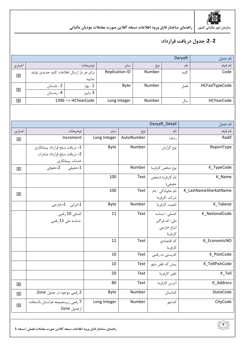

#### 2-2: جدول دريافت قرارداد:

| Daryaft |                                            |                    |                       |        |      | نام جدول          |
|---------|--------------------------------------------|--------------------|-----------------------|--------|------|-------------------|
| اجبارى  |                                            | توضيحات            |                       | نوع    | نام  | نام فيلد          |
| 区       | برای هر بار ارسال اطلاعات کلید جدیدی تولید |                    | <b>Replication ID</b> | Number | کلید | Code              |
|         |                                            | نماييد             |                       |        |      |                   |
|         | 2 : تابستان                                | 1 : بهار           | Byte                  | Number | فصل  | HCFasITypeCode    |
| 区       | 4 : زمستان                                 | 3 :پاييز           |                       |        |      |                   |
| 区       |                                            | 1396 <= HCYearCode | Long Integer          | Number | سال  | <b>HCYearCode</b> |

|        |                                                    | نام جدول     |            |                            |                       |
|--------|----------------------------------------------------|--------------|------------|----------------------------|-----------------------|
| اجبارى | توضيحات                                            | سايز         | نوع        | نام                        | نام فيلد              |
| 区      | Increment                                          | Long Integer | AutoNumber | رديف                       | Radif                 |
|        | 1= دریافت مبلغ قرارداد پیمانکاری                   | Byte         | Number     | نوع گزارش                  | ReportType            |
|        | 2= دريافت مبلغ قرارداد صادرات                      |              |            |                            |                       |
|        | خدمات پیمانکاری                                    |              |            |                            |                       |
| 区      | 1=حقيقى      2=حقوقى                               |              | Number     | نوع شخص كارفرما            | K_TypeCode            |
|        |                                                    | 100          | Text       | نام كارفرما (شخص           | K_Name                |
|        |                                                    |              |            | حقيقى)                     |                       |
| 区      |                                                    | 100          | Text       | نام خانوادگی / نام         | K_LastNameSherkatName |
|        |                                                    |              |            | شركت كارفرما               |                       |
|        | 1⊧يرانى 2=خارجى                                    | Byte         | Number     | تابعيت كارفرما             | K_Tabeiat             |
|        | كدملى 10 رقمى                                      | 11           | Text       | كدملى / شناسه              | K_NationalCode        |
|        | شناسه ملی 11 رقمی                                  |              |            | ملی/ کد فراگیر             |                       |
|        |                                                    |              |            | اتباع خارجي                |                       |
|        |                                                    |              |            | كارفرما                    |                       |
|        |                                                    | 12           | Text       | کد اقتصادی                 | K_EconomicNO          |
|        |                                                    |              |            | كارفرما                    |                       |
|        |                                                    | 10           | Text       | کدپستی ده <sub>ر</sub> قمی | K_PostCode            |
|        |                                                    | 10           | Text       | ييش كد تلفن شهر            | K_TellPishCode        |
|        |                                                    | 50           | Text       | تلفن كارفرما               | K_Tell                |
| 区      |                                                    | 80           | Text       | أدرس كارفرما               | K_Address             |
| 区      | 2 رقمی موجود در جدول Zone                          | <b>Byte</b>  | Number     | كداستان                    | StateCode             |
| 区      | 7 , قمی زیرمجموعه هراستان بااستفاده<br>ازجدول Zone | Long Integer | Number     | كدشهر                      | CityCode              |



راهنمای ساختار فایل ورود اطلاعات نسخه آفلاین صورت معاملات فصلی | نسخه 1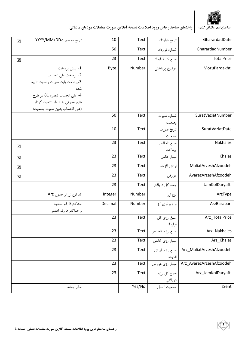

| 区                       | تاريخ به صورت YYYY/MM/DD         | 10          | Text   | تاريخ قرارداد    | GharardadDate            |
|-------------------------|----------------------------------|-------------|--------|------------------|--------------------------|
|                         |                                  | 50          | Text   | شماره قرارداد    | GharardadNumber          |
| $\boxtimes$             |                                  | 23          | Text   | مبلغ كل قرارداد  | <b>TotalPrice</b>        |
|                         | 1= پیش پرداخت                    | <b>Byte</b> | Number | موضوع پرداختی    | MozuPardakhti            |
|                         | 2= پرداخت على الحساب             |             |        |                  |                          |
|                         | 3=پرداخت بابت صورت وضعيت تاييد   |             |        |                  |                          |
|                         | شده                              |             |        |                  |                          |
|                         | 4= على الحساب تبصره 81 در طرح    |             |        |                  |                          |
|                         | های عمرانی به عنوان تنخواه گردان |             |        |                  |                          |
|                         | (على الحساب بدون صورت وضعيت)     |             |        |                  |                          |
|                         |                                  | 50          | Text   | شماره صورت       | SuratVaziatNumber        |
|                         |                                  |             |        | وضعيت            |                          |
|                         |                                  | 10          | Text   | تاريخ صورت       | SuratVaziatDate          |
|                         |                                  |             |        | وضعيت            |                          |
| $\overline{\mathsf{x}}$ |                                  | 23          | Text   | مبلغ ناخالص      | Nakhales                 |
|                         |                                  |             |        | پرداخت           |                          |
| 区                       |                                  | 23          | Text   | مبلغ خالص        | Khales                   |
| $\overline{\mathsf{x}}$ |                                  | 23          | Text   | ارزش افزوده      | MaliatArzeshAfzoodeh     |
| 区                       |                                  | 23          | Text   | عوارض            | AvarezArzeshAfzoodeh     |
|                         |                                  | 23          | Text   | جمع كل دريافتي   | JamKolDaryafti           |
|                         | کد نوع ارز از جدول Arz           | Integer     | Number | نوع ارز          | ArzType                  |
|                         | حداكثر 5 رقم صحيح                | Decimal     | Number | نرخ برابري ارز   | ArzBarabari              |
|                         | و حداکثر 5 رقم اعشار             |             |        |                  |                          |
|                         |                                  | 23          | Text   | مبلغ ارزي كل     | Arz_TotalPrice           |
|                         |                                  |             |        | قرارداد          |                          |
|                         |                                  | 23          | Text   | مبلغ ارزى ناخالص | Arz_Nakhales             |
|                         |                                  | 23          | Text   | مبلغ ارزي خالص   | Arz_Khales               |
|                         |                                  | 23          | Text   | مبلغ ارزي ارزش   | Arz_MaliatArzeshAfzoodeh |
|                         |                                  |             |        | افزوده           |                          |
|                         |                                  | 23          | Text   | مبلغ ارزى عوارض  | Arz_AvarezArzeshAfzoodeh |
|                         |                                  | 23          | Text   | جمع كل ارزي      | Arz_JamKolDaryafti       |
|                         |                                  |             |        | دريافتى          |                          |
|                         | خالی بماند                       |             | Yes/No | وضعيت ارسال      | IsSent                   |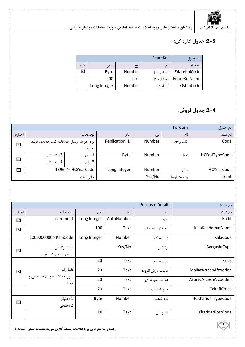

## **: \$ 9 /#)2 :2-3**

|      |              | انام جدول |              |              |
|------|--------------|-----------|--------------|--------------|
| كليد | سايز         | نوع       | نام          | نام فيلد     |
| ☑    | <b>Byte</b>  | Number    | کد ادارہ کل  | EdareKolCode |
|      | 200          | Text      | نام ادارہ کل | EdareKolName |
|      | Long Integer | Number    | کد استان     | OstanCode    |

### **:0#- /#)2 :2-4**

|        | نام جدول                                   |          |                       |        |             |                   |
|--------|--------------------------------------------|----------|-----------------------|--------|-------------|-------------------|
| اجبارى |                                            | توضيحات  | سايز                  | نوع    | نام         | نام فيلد          |
| 図      | برای هر بار ارسال اطلاعات کلید جدیدی تولید |          | <b>Replication ID</b> | Number | كليد واحد   | Code              |
|        |                                            | نماييد   |                       |        |             |                   |
|        | ، 2 : تابستان                              | 1 : بهار | Byte                  | Number | فصل         | HCFaslTypeCode    |
| 区      | 4 : زمستان                                 | 3 :پاييز |                       |        |             |                   |
| 図      | 1396 <= HCYearCode                         |          | Long Integer          | Number | َ سال       | <b>HCYearCode</b> |
|        | خالی باشد                                  |          |                       | Yes/No | وضعيت ارسال | IsSent            |

|                         |                                      | نام جدول     |            |                    |                         |
|-------------------------|--------------------------------------|--------------|------------|--------------------|-------------------------|
| اجبارى                  | توضيحات                              | سايز         | نوع        | نام                | نام فيلد                |
| $\mathbf{\Sigma}$       | Increment                            | Long Integer | AutoNumber | رديف               | Radif                   |
| 区                       |                                      | 100          | Text       | نام كالا يا خدمات  | KalaKhadamatName        |
|                         | 1000000000> KalaCode                 | Long Integer | Number     | شناسه کالا         | KalaCode                |
| 区                       | $\pm$ : برگشتی $-1$                  |              | Yes/No     | برگشتی             | BargashtType            |
|                         | در غير اينصورت صفر                   |              |            |                    |                         |
|                         |                                      | 23           | Text       | مبلغ خالص          | Price                   |
| $\overline{\mathbf{x}}$ | فقط رقم                              | 23           | Text       | ماليات ارزش افزوده | MaliatArzeshAfzoodeh    |
|                         | بدون جداكننده و علامت منفى و<br>مميز | 23           | Text       | عوارض شهرداري      | AvarezArzeshAfzoodeh    |
|                         |                                      | 23           | Text       | مبلغ تخفيف         | <b>TakhfifPrice</b>     |
| 図                       | 1 :حقيقى                             | <b>Byte</b>  | Number     | نوع شخص            | HCKharidarTypeCode      |
|                         | 2 :حقوقى                             |              |            |                    |                         |
|                         |                                      | 10           | Text       | کد پستی            | <b>KharidarPostCode</b> |



راهنمای ساختار فایل ورود اطلاعات نسخه آفلاین صورت معاملات فصلی | نسخه 1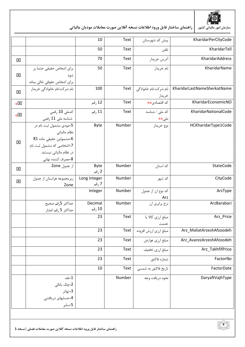

|               |                                                              | 10                   | Text   | پیش کد شهرستان        | KharidarPerCityCode         |
|---------------|--------------------------------------------------------------|----------------------|--------|-----------------------|-----------------------------|
|               |                                                              | 50                   | Text   | تلفن                  | KharidarTell                |
| 図             |                                                              | 70                   | Text   | آدرس خريدار           | KharidarAddress             |
|               | برای اشخاص حقیقی حتما پر                                     | 50                   | Text   | نام خريدار            | KharidarName                |
| 区             | شود                                                          |                      |        |                       |                             |
|               | برای اشخاص حقوقی خالی بماند<br>نام شر کت/نام خانوادگی خریدار | 100                  | Text   | نام شركت/نام خانوادگى | KharidarLastNameSherkatName |
| 区             |                                                              |                      |        | خريدار                |                             |
| $\frac{1}{2}$ |                                                              | 12 رقم               | Text   | كد اقتصادى#*          | KharidarEconomicNO          |
| *X            | كدملى 10 رقمى                                                | 11 رقم               | Text   | كد ملى / شناسه        | KharidarNationalCode        |
|               | شناسه ملی 11 رقمی                                            |                      |        | ملى##                 |                             |
|               | 5=مودی مشمول ثبت نام در                                      | <b>Byte</b>          | Number | نوع خريدار            | HCKharidarType1Code         |
|               | نظام مالیاتی                                                 |                      |        |                       |                             |
| 囟             | 6=مشمولين حقيقى ماده 81                                      |                      |        |                       |                             |
|               | 7=اشخاصی که مشمول ثبت نام                                    |                      |        |                       |                             |
|               | در نظام مالیاتی نیستند                                       |                      |        |                       |                             |
|               | 8=مصرف كننده نهايي                                           |                      |        |                       |                             |
| 区             | از جدول Zone                                                 | <b>Byte</b><br>2 رقم | Number | کد استان              | StateCode                   |
|               | زیرمجموعه هراستان از جدول                                    | Long Integer         | Number | كد شهر                | CityCode                    |
| 区             | Zone                                                         | 7 رقم                |        |                       |                             |
|               |                                                              | Integer              | Number | کد نوع ارز از جدول    | ArzType                     |
|               |                                                              |                      |        | Arz                   |                             |
|               | حداكثر 5رقم صحيح                                             | Decimal              | Number | نرخ برابري ارز        | ArzBarabari                 |
|               | حداكثر 5 رقم اعشار                                           | 10 رقم               |        |                       |                             |
|               |                                                              | 23                   | Text   | مبلغ ارزي كالا يا     | Arz_Price                   |
|               |                                                              |                      |        | خدمت                  |                             |
|               |                                                              | 23                   | Text   | مبلغ ارزي ارزش افزوده | Arz_MaliatArzeshAfzoodeh    |
|               |                                                              | 23                   | Text   | مبلغ ارزى عوارض       | Arz_AvarezArzeshAfzoodeh    |
|               |                                                              | 23                   | Text   | مبلغ ارزي تخفيف       | Arz TakhfifPrice            |
|               |                                                              | 23                   | Text   | شماره فاكتور          | FactorNo                    |
|               |                                                              | 10                   | Text   | تاریخ فاکتور به شمسی  | FactorDate                  |
|               | 1=نقد                                                        |                      | Number | نحوه دريافت وجه       | DaryaftVajhType             |
|               | 2=چک بانکی                                                   |                      |        |                       |                             |
|               | 3=تھاتر                                                      |                      |        |                       |                             |
|               | 4=حسابهای دریافتنی                                           |                      |        |                       |                             |
|               | 5=ساير                                                       |                      |        |                       |                             |

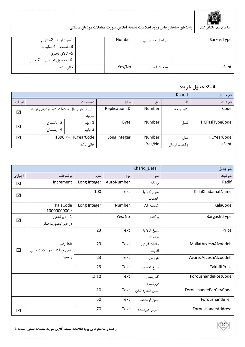

|  | 1=مواد اوليه   2= دارايي  | Number | سرفصل حسابرسی | SarFasIType   |
|--|---------------------------|--------|---------------|---------------|
|  | 3=خدمت 4=ضابعات           |        |               |               |
|  | . 5= کالای تجاری          |        |               |               |
|  | 6= محصول توليدي<br>7=ساير |        |               |               |
|  | خالی باشد                 | Yes/No | وضعيت ارسال   | <b>IsSent</b> |
|  |                           |        |               |               |

#### **:)-& /#)2 :2-4**

|        | Kharid             |                                            |              |        |             |                   |  |  |
|--------|--------------------|--------------------------------------------|--------------|--------|-------------|-------------------|--|--|
| اجبارى |                    | توضيحات                                    | سايز         | نوع    | نام         | نام فيلد          |  |  |
| 区      |                    | برای هر بار ارسال اطلاعات کلید جدیدی تولید |              | Number | كليد واحد   | Code              |  |  |
|        | نماييد             |                                            |              |        |             |                   |  |  |
|        | 2 : تابستان        | 1 : بهار                                   | Byte         | Number | فصل         | HCFaslTypeCode    |  |  |
| 区      | : 4 خ مستان        | 3 :پاييز                                   |              |        |             |                   |  |  |
| 図      | 1396 <= HCYearCode |                                            | Long Integer | Number | سال         | <b>HCYearCode</b> |  |  |
|        |                    | خالی باشد                                  |              | Yes/No | وضعيت ارسال | <b>IsSent</b>     |  |  |

|             |                            | Kharid_Detail | نام جدول    |                |                        |
|-------------|----------------------------|---------------|-------------|----------------|------------------------|
| اجبارى      | توضيحات                    | سايز          | نوع         | نام            | نام فيلد               |
| $\boxtimes$ | Increment                  | Long Integer  | AutoNumber  | رديف           | Radif                  |
| 区           |                            | 100           | <b>Text</b> | شرح كالا يا    | KalaKhadamatName       |
|             |                            |               |             | خدمات          |                        |
|             | KalaCode<br>1000000000>    | Long Integer  | Number      | شناسه كالا     | KalaCode               |
| ⊠           | 1- : برگشتى                |               | Yes/No      | برگشتی         | BargashtType           |
|             | در غير اينصورت صفر         |               |             |                |                        |
|             |                            | 23            | Text        | مبلغ كالا يا   | Price                  |
|             |                            |               |             | خدمت           |                        |
|             | فقط رقم                    | 23            | Text        | ماليات ارزش    | MaliatArzeshAfzoodeh   |
| $\boxtimes$ | بدون جداكننده و علامت منفى |               |             | افزوده         |                        |
|             | و مميز                     | 23            | Text        | عوارض          | AvarezArzeshAfzoodeh   |
|             |                            | 23            | Text        | مبلغ تخفيف     | TakhfifPrice           |
|             |                            | 10رقم         | Text        | کد پستی        | ForoushandePostCode    |
|             |                            |               |             | فروشنده        |                        |
|             |                            | 10            | Text        | پيش شماره تلفن | ForoushandePerCityCode |
|             |                            | 50            | Text        | تلفن فروشنده   | ForoushandeTell        |
| 区           |                            | 70            | Text        | آدرس فروشنده   | ForoushandeAddress     |



راهنمای ساختار فایل ورود اطلاعات نسخه آفلاین صورت معاملات فصلی | نسخه 1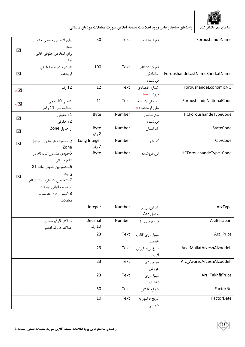

|                           | برای اشخاص حقیقی حتما پر    | 50           | Text        | نام فروشنده       | ForoushandeName                |
|---------------------------|-----------------------------|--------------|-------------|-------------------|--------------------------------|
| 囟                         | شود                         |              |             |                   |                                |
|                           | برای اشخاص حقوقی خالی       |              |             |                   |                                |
|                           | بماند                       |              |             |                   |                                |
|                           | نام شركت/نام خانوادگى       | 100          | Text        | نام شركت/نام      |                                |
| 区                         | فروشنده                     |              |             | خانوادگی          | ForoushandeLastNameSherkatName |
|                           |                             |              |             | فروشنده           |                                |
|                           | 12 رقم                      | 12           | Text        | شماره اقتصادى     | ForoushandeEconomicNO          |
| $* \overline{\mathbf{X}}$ |                             |              |             | فروشنده **        |                                |
|                           | كدملى 10 رقمى               | 11           | Text        | كد ملي /شناسه     | ForoushandeNationalCode        |
| $* \boxed{\times}$        | شناسه ملی 11 رقمی           |              |             | ملي فروشنده،*     |                                |
|                           | 1 : حقيقى                   | Byte         | Number      |                   | HCForoushandeTypeCode          |
| 図                         |                             |              |             | نوع شخص           |                                |
|                           | 2 : حقوقى                   |              |             | فروشنده           |                                |
| 図                         | از جدول Zone                | <b>Byte</b>  | Number      | کد استان          | StateCode                      |
|                           |                             | 2 رقم        |             |                   |                                |
| 区                         | زیرمجموعه هراستان از جدول   | Long Integer | Number      | كد شهر            | CityCode                       |
|                           | Zone                        | 7 رقم        |             |                   |                                |
|                           | 5=مودی مشمول ثبت نام در     | Byte         | Number      | نوع فروشنده       | HCForoushandeType1Code         |
|                           | نظام مالیاتی                |              |             |                   |                                |
|                           | 6=مشمولين حقيقى ماده 81     |              |             |                   |                                |
| 図                         | ق.م.م                       |              |             |                   |                                |
|                           | 7=اشخاصی که ملزم به ثبت نام |              |             |                   |                                |
|                           | در نظام مالیاتی نیستند      |              |             |                   |                                |
|                           | 8=کمتر از 5٪ حد نصاب        |              |             |                   |                                |
|                           | معاملات                     |              |             |                   |                                |
|                           |                             | Integer      | Number      | کد نوع ارز از     | ArzType                        |
|                           |                             |              |             | جدول Arz          |                                |
|                           | حداكثر 5رقم صحيح            | Decimal      | Number      | نرخ برابري ارز    | ArzBarabari                    |
|                           | حداكثر 5 رقم اعشار          | 10 رقم       |             |                   |                                |
|                           |                             | 23           | Text        | مبلغ ارزي كالا يا | Arz_Price                      |
|                           |                             |              |             | خدمت              |                                |
|                           |                             | 23           | Text        | مبلغ ارزي ارزش    | Arz_MaliatArzeshAfzoodeh       |
|                           |                             |              |             | افزوده            |                                |
|                           |                             | 23           | <b>Text</b> |                   | Arz_AvarezArzeshAfzoodeh       |
|                           |                             |              |             | مبلغ ارزي         |                                |
|                           |                             |              |             | عوارض             |                                |
|                           |                             | 23           | Text        | مبلغ ارزي         | Arz_TakhfifPrice               |
|                           |                             |              |             | تخفيف             |                                |
|                           |                             | 50           | Text        | شماره فاكتور      | FactorNo                       |
|                           |                             | 10           | <b>Text</b> | تاريخ فاكتور به   | FactorDate                     |
|                           |                             |              |             | شمسى              |                                |
|                           |                             |              |             |                   |                                |

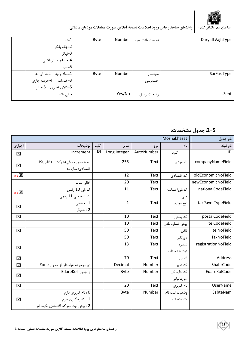

| DaryaftVajhType | نحوه دريافت وجه | Number | Byte | 1=نقد                        |  |
|-----------------|-----------------|--------|------|------------------------------|--|
|                 |                 |        |      | 2=چک بانکی                   |  |
|                 |                 |        |      | 3=تھاتر                      |  |
|                 |                 |        |      | 4=حسابهای دریافتنی           |  |
|                 |                 |        |      | 5=ساير                       |  |
| SarFasIType     | سرفصل           | Number | Byte | 1=مواد اوليه     2=دارايي ها |  |
|                 | حسابرسى         |        |      | 3=خدمات 4=هزينه جارى         |  |
|                 |                 |        |      | 5=کالای تجاری ۔ 6=سایر       |  |
| <b>IsSent</b>   | وضعيت ارسال     | Yes/No |      | خالی باشد                    |  |
|                 |                 |        |      |                              |  |

#### 5-2: جدول مشخصات:

|             |                                     |      |              |            | Moshakhasat    | نام جدول            |
|-------------|-------------------------------------|------|--------------|------------|----------------|---------------------|
| اجبارى      | توضيحات                             | كليد | سايز         | نوع        | نام            | نام فيلد            |
| 図           | Increment                           | ☑    | Long Integer | AutoNumber | كليد           | ID                  |
|             | نام شخص حقوقي(شركت ) /نام بنگاه     |      | 255          | Text       | نام مودی       | companyNameField    |
| 区           | اقتصادي(مغازه)                      |      |              |            |                |                     |
| **区         |                                     |      | 12           | Text       | كد اقتصادى     | oldEconomicNoField  |
|             | خالی بماند                          |      | 20           | Text       |                | newEconomicNoField  |
| **区         | كدملى 10 ,قمى                       |      | 11           | Text       | كدملي/ شناسه   | nationalCodeField   |
|             | شناسه ملی 11 رقمی                   |      |              |            | ملی            |                     |
| 区           | $=$ = حقيقى $=$ : $\mathbf 1$       |      | $\mathbf{1}$ | Text       | نوع مودي       | taxPayerTypeField   |
|             | 2 : حقوقى                           |      |              |            |                |                     |
| 囟           |                                     |      | 10           | Text       | کد پستی        | postalCodeField     |
|             |                                     |      | 10           | Text       | پيش شماره تلفن | telCodeField        |
| $\boxtimes$ |                                     |      | 50           | Text       | تلفن           | telNoField          |
|             |                                     |      | 50           | Text       | دورنگار        | faxNoField          |
| 区           |                                     |      | 13           | Text       | شماره          | registrationNoField |
|             |                                     |      |              |            | ثبت /شناسنامه  |                     |
| 区           |                                     |      | 70           | Text       | آدرس           | Address             |
| 区           | زیرمجموعه هراستان از جدول Zone      |      | Decimal      | Number     | كد شهر         | ShahrCode           |
| 区           | از جدول EdareKol                    |      | <b>Byte</b>  | Number     | كد اداره كل    | EdareKolCode        |
|             |                                     |      |              |            | امورمالياتي    |                     |
| 区           |                                     |      | 20           | Text       | نام كاربرى     | <b>UserName</b>     |
|             | 0 : نام كاربرى دارم                 |      | <b>Byte</b>  | Number     | وضعيت ثبت نام  | SabteNam            |
| 区           | 1 : كد رهگيري دارم                  |      |              |            | كد اقتصادى     |                     |
|             | 2 : پیش ثبت نام کد اقتصادی نکرده ام |      |              |            |                |                     |

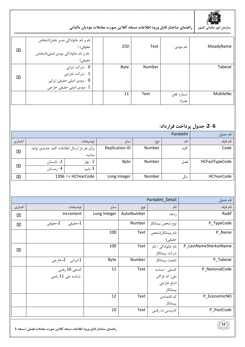

|   | نام و نام خانوادگی مدیر عامل(اشخاص |             |        |            |           |
|---|------------------------------------|-------------|--------|------------|-----------|
| 区 | حقوقي) ا                           | 250         | Text   | نام مودی   | MoadyName |
|   | نام و نام خانوادگی مودی اصلی(اشخاص |             |        |            |           |
|   | حقيقى)                             |             |        |            |           |
|   | 0 : شركت ايراني                    | <b>Byte</b> | Number |            | Tabeiat   |
| 区 | 1 : شركت خارجى                     |             |        |            |           |
|   | 0 : مودي اصلي حقيقي ايراني         |             |        |            |           |
|   | 1 :مودي اصلي حقيقي خارجي           |             |        |            |           |
|   |                                    | 11          | Text   | شماره تلفن | MobileNo  |
|   |                                    |             |        | همراه      |           |

#### 6–2: جدول پرداخت قرارداد:

|        | نام جدول                                   |                          |                       |        |      |                   |
|--------|--------------------------------------------|--------------------------|-----------------------|--------|------|-------------------|
| اجبارى |                                            | توضيحات                  | سايز                  | نوع    | نام  | نام فيلد          |
| 区      | برای هر بار ارسال اطلاعات کلید جدیدی تولید |                          | <b>Replication ID</b> | Number | كليد | Code              |
|        |                                            | نماييد                   |                       |        |      |                   |
|        | 2 : تابستان                                | 1 : بهار                 | Byte                  | Number | فصل  | HCFaslTypeCode    |
| 区      | 3 :پاييز<br>4 : زمستان                     |                          |                       |        |      |                   |
| 区      |                                            | 1396 $\leq$ = HCYearCode | Long Integer          | Number | سال  | <b>HCYearCode</b> |

|                         |                    | Pardakht Detail | نام جدول   |                    |                       |
|-------------------------|--------------------|-----------------|------------|--------------------|-----------------------|
| اجبارى                  | توضيحات            | سايز            | نوع        | نام                | نام فيلد              |
| $\overline{\mathbf{x}}$ | Increment          | Long Integer    | AutoNumber | رديف               | Radif                 |
| 区                       | 1=حقيقى<br>2=حقوقى |                 | Number     | نوع شخص پيمانكار   | P_TypeCode            |
|                         |                    | 100             | Text       | نام پیمانکار (شخص  | P_Name                |
|                         |                    |                 |            | حقيقى)             |                       |
| ⊠                       |                    | 100             | Text       | نام خانوادگی / نام | P_LastNameSherkatName |
|                         |                    |                 |            | شركت پيمانكار      |                       |
|                         | 1⊧يرانى 2=خارجى    | Byte            | Number     | تابعيت ييمانكار    | P_Tabeiat             |
|                         | كدملي 10 رقمي      | 11              | Text       | كدملى / شناسه      | P_NationalCode        |
|                         | شناسه ملي 11 رقمي  |                 |            | ملي/ كد فراگير     |                       |
|                         |                    |                 |            | اتباع خارجي        |                       |
|                         |                    |                 |            | پیمانکار           |                       |
|                         |                    | 12              | Text       | كد اقتصادى         | P_EconomicNO          |
|                         |                    |                 |            | پیمانکار           |                       |
|                         |                    | 10              | Text       | كدپستى دە رقمى     | P_PostCode            |

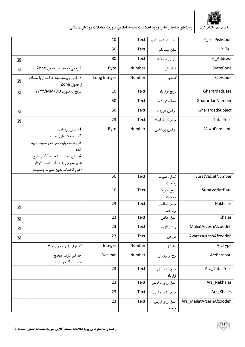

|                         |                                                                                                                                                                                     | 10           | Text   | پیش کد تلفن شهر          | P_TellPishCode           |
|-------------------------|-------------------------------------------------------------------------------------------------------------------------------------------------------------------------------------|--------------|--------|--------------------------|--------------------------|
|                         |                                                                                                                                                                                     | 50           | Text   | تلفن پيمانكار            | P_Tell                   |
| 区                       |                                                                                                                                                                                     | 80           | Text   | آدرس پيمانكار            | P_Address                |
| 区                       | 2 رقمي موجود در جدول Zone                                                                                                                                                           | <b>Byte</b>  | Number | كداستان                  | StateCode                |
| 区                       | 7 رقمی زیرمجموعه هراستان بااستفاده<br>ازجدول Zone                                                                                                                                   | Long Integer | Number | كدشهر                    | CityCode                 |
| $\boxtimes$             | تاريخ به صورتYYYY/MM/DD                                                                                                                                                             | 10           | Text   | تاريخ قرارداد            | GharardadDate            |
|                         |                                                                                                                                                                                     | 50           | Text   | شماره قرارداد            | GharardadNumber          |
| $\boxed{\mathbf{X}}$    |                                                                                                                                                                                     | 50           | Text   | موضوع قرارداد            | GharardadSubject         |
| 区                       |                                                                                                                                                                                     | 23           | Text   | مبلغ كل قرارداد          | TotalPrice               |
|                         | 1= پیش پرداخت<br>2= پرداخت على الحساب<br>3=پرداخت بابت صورت وضعيت تاييد<br>شده<br>4= على الحساب تبصره 81 در طرح<br>های عمرانی به عنوان تنخواه گردان<br>(على الحساب بدون صورت وضعيت) | Byte         | Number | موضوع پرداختی            | MozuPardakhti            |
|                         |                                                                                                                                                                                     | 50           | Text   | شماره صورت<br>وضعيت      | SuratVaziatNumber        |
|                         |                                                                                                                                                                                     | 10           | Text   | تاريخ صورت<br>وضعيت      | SuratVaziatDate          |
| 囟                       |                                                                                                                                                                                     | 23           | Text   | مبلغ ناخالص<br>پرداخت    | Nakhales                 |
| $\overline{\mathsf{x}}$ |                                                                                                                                                                                     | 23           | Text   | مبلغ خالص                | Khales                   |
| 区                       |                                                                                                                                                                                     | 23           | Text   | ارزش افزوده              | MaliatArzeshAfzoodeh     |
| $\boxed{\mathbf{X}}$    |                                                                                                                                                                                     | 23           | Text   | عوارض                    | AvarezArzeshAfzoodeh     |
|                         | کد نوع ارز از جدول Arz                                                                                                                                                              | Integer      | Number | نوع ارز                  | ArzType                  |
|                         | حداكثر 5رقم صحيح<br>حداكثر 5 رقم اعشار                                                                                                                                              | Decimal      | Number | نرخ برابري ارز           | ArzBarabari              |
|                         |                                                                                                                                                                                     | 23           | Text   | مبلغ ارزي كل<br>قرارداد  | Arz_TotalPrice           |
|                         |                                                                                                                                                                                     | 23           | Text   | مبلغ ارزى ناخالص         | Arz_Nakhales             |
|                         |                                                                                                                                                                                     | 23           | Text   | مبلغ ارزي خالص           | Arz_Khales               |
|                         |                                                                                                                                                                                     | 23           | Text   | مبلغ ارزي ارزش<br>افزوده | Arz_MaliatArzeshAfzoodeh |

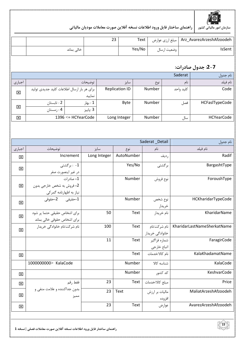

|            | 23 | Text   |             | <sub>،</sub> Arz_AvarezArzeshAfzoodeh     مبلغ ارزي عوارض |
|------------|----|--------|-------------|-----------------------------------------------------------|
| خالی بماند |    | Yes/No | وضعيت ارسال | IsSent                                                    |

### **:- /#)2 :2-7**

|                         | نام جدول                                   |                          |                       |        |           |                   |
|-------------------------|--------------------------------------------|--------------------------|-----------------------|--------|-----------|-------------------|
| اجبارى                  |                                            | توضيحات                  | سايز                  | نوع    | نام       | نام فيلد          |
| $\overline{\mathbf{x}}$ | برای هر بار ارسال اطلاعات کلید جدیدی تولید |                          | <b>Replication ID</b> | Number | كليد واحد | Code              |
|                         |                                            | نماييد                   |                       |        |           |                   |
|                         | 2 : تابستان                                | 1 : بهار                 | Byte                  | Number | فصل       | HCFasITypeCode    |
| 区                       | 3 :پاييز<br>: 4 زمستان                     |                          |                       |        |           |                   |
| 図                       |                                            | 1396 $\leq$ = HCYearCode | Long Integer          | Number | سال       | <b>HCYearCode</b> |

|        |                               |              |            | Saderat_Detail  | نام جدول                    |
|--------|-------------------------------|--------------|------------|-----------------|-----------------------------|
| اجباري | توضيحات                       | سايز         | نوع        | نام             | نام فيلد                    |
| ⊠      | Increment                     | Long Integer | AutoNumber | رديف            | Radif                       |
| ⊠      | 1- : برگشتی                   |              | Yes/No     | برگشتی          | BargashtType                |
|        | در غير اينصورت صفر            |              |            |                 |                             |
|        | $-1$ صاد, ات                  |              | Number     | نوع فروش        | ForoushType                 |
| 区      | 2= فروش به شخص خارجي بدون     |              |            |                 |                             |
|        | نیاز به اظهارنامه گمرکی       |              |            |                 |                             |
| 区      |                               |              | Number     | نوع شخص         | HCKharidarTypeCode          |
|        |                               |              |            | خريدار          |                             |
| 区      | برای اشخاص حقیقی حتما پر شود  | 50           | Text       | نام خريدار      | KharidarName                |
|        | برای اشخاص حقوقی خالی بماند   |              |            |                 |                             |
| 区      | نام شر کت/نام خانوادگی خریدار | 100          | Text       | نام شركت/نام    | KharidarLastNameSherkatName |
|        |                               |              |            | خانوادگی خریدار |                             |
|        |                               | 11           | Text       | شماره فراگير    | FaragirCode                 |
|        |                               |              |            | اتباع خارجي     |                             |
| 冈      |                               |              | Text       | نام كالا/خدمات  | KalaKhadamatName            |
|        | 1000000000> KalaCode          |              | Number     | شناسه كالا      | KalaCode                    |
| 区      |                               |              | Number     | کد کشور         | <b>KeshvarCode</b>          |
| 区      | فقط رقم                       | 23           | Text       | مبلغ كالا/خدمات | Price                       |
|        | بدون جداکننده و علامت منفی و  | 23           | Text       | مالیات بر ارزش  | MaliatArzeshAfzoodeh        |
| 区      | مميز                          |              |            | افزوده          |                             |
| 図      |                               | 23           | Text       | عوارض           | AvarezArzeshAfzoodeh        |

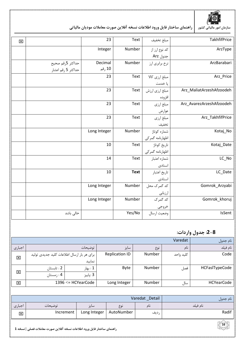

| 区 |                    | 23           | Text        | مبلغ تخفيف      | TakhfifPrice             |
|---|--------------------|--------------|-------------|-----------------|--------------------------|
|   |                    | Integer      | Number      | کد نوع ارز از   | ArzType                  |
|   |                    |              |             | جدول Arz        |                          |
|   | حداكثر 5رقم صحيح   | Decimal      | Number      | نرخ برابري ارز  | ArzBarabari              |
|   | حداكثر 5 رقم اعشار | 10 رقم       |             |                 |                          |
|   |                    | 23           | Text        | مبلغ ارزي كالا  | Arz_Price                |
|   |                    |              |             | يا خدمت         |                          |
|   |                    | 23           | Text        | مبلغ ارزي ارزش  | Arz_MaliatArzeshAfzoodeh |
|   |                    |              |             | افزوده          |                          |
|   |                    | 23           | Text        | مبلغ ارزي       | Arz_AvarezArzeshAfzoodeh |
|   |                    |              |             | عوارض           |                          |
|   |                    | 23           | Text        | مبلغ ارزي       | Arz_TakhfifPrice         |
|   |                    |              |             | تخفيف           |                          |
|   |                    | Long Integer | Number      | شماره كوتاژ     | Kotaj_No                 |
|   |                    |              |             | اظهارنامه گمرکی |                          |
|   |                    | 10           | Text        | تاريخ كوتاژ     | Kotaj_Date               |
|   |                    |              |             | اظهارنامه گمرکی |                          |
|   |                    | 14           | Text        | شماره اعتبار    | LC_No                    |
|   |                    |              |             | اسنادى          |                          |
|   |                    | 10           | <b>Text</b> | تاريخ اعتبار    | LC_Date                  |
|   |                    |              |             | اسنادى          |                          |
|   |                    | Long Integer | Number      | كد گمرک محل     | Gomrok_Arzyabi           |
|   |                    |              |             | ارزیابی         |                          |
|   |                    | Long Integer | Number      | کد گمرک         | Gomrok_khoruj            |
|   |                    |              |             | خروجى           |                          |
|   | خالی باشد          |              | Yes/No      |                 | IsSent                   |
|   |                    |              |             |                 |                          |

#### 8-2: جدول واردات:

|                         | نام جدول                                   |          |                       |        |           |                   |
|-------------------------|--------------------------------------------|----------|-----------------------|--------|-----------|-------------------|
| اجبارى                  |                                            | توضيحات  |                       | نوع    | نام       | نام فيلد          |
| 区                       | برای هر بار ارسال اطلاعات کلید جدیدی تولید |          | <b>Replication ID</b> | Number | كليد واحد | Code              |
|                         | نماييد                                     |          |                       |        |           |                   |
|                         | 2 : تابستان                                | 1 : بھار | Byte                  | Number | فصل       | HCFasITypeCode    |
| $\overline{\mathsf{x}}$ | . 4 : زمستان                               | 3 :پاييز |                       |        |           |                   |
| 区                       | 1396 <= HCYearCode                         |          | Long Integer          | Number | سال       | <b>HCYearCode</b> |

|        |           | نام جدول     |            |     |          |
|--------|-----------|--------------|------------|-----|----------|
| اجبارى | توضيحات   | سايز         | نەع        | نام | نام فیلد |
| 図      | Increment | Long Integer | AutoNumber | ديف | Radif    |



راهنمای ساختار فایل ورود اطلاعات نسخه آفلاین صورت معاملات فصلی | نسخه 1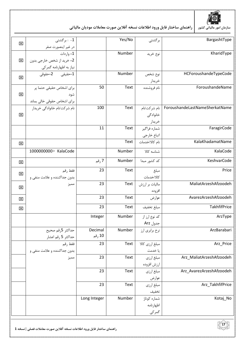

| 図                 | 1- : برگشتى<br>در غير اينصورت صفر |              | Yes/No      | برگشتی         | BargashtType                   |
|-------------------|-----------------------------------|--------------|-------------|----------------|--------------------------------|
|                   | 1= واردات                         |              | Number      | نوع خريد       | KharidType                     |
| 区                 | 2= خريد از شخص خارجي بدون         |              |             |                |                                |
|                   | نیاز به اظهارنامه گمرکی           |              |             |                |                                |
|                   | 1=حقيقى ___ 2=حقوقى               |              | Number      | نوع شخص        | HCForoushandeTypeCode          |
| 区                 |                                   |              |             | خريدار         |                                |
|                   | برای اشخاص حقیقی حتما پر          | 50           | Text        | نام فروشنده    | ForoushandeName                |
| 区                 | شود                               |              |             |                |                                |
|                   | برای اشخاص حقوقی خالی بماند       |              |             |                |                                |
|                   | نام شر کت/نام خانوادگی خریدار     | 100          | Text        | نام شركت/نام   | ForoushandeLastNameSherkatName |
| 区                 |                                   |              |             | خانوادگے       |                                |
|                   |                                   |              |             | خريدار         |                                |
|                   |                                   | 11           | Text        | شماره فراگیر   | FaragirCode                    |
|                   |                                   |              |             | اتباع خارجي    |                                |
| 図                 |                                   |              | Text        | نام كالا/خدمات | KalaKhadamatName               |
|                   | 1000000000> KalaCode              |              | Number      | شناسه كالا     | KalaCode                       |
| 区                 |                                   | 7 رقم        | Number      | كد كشور مبدا   | KeshvarCode                    |
|                   | فقط رقم                           | 23           | Text        | مبلغ           | Price                          |
| 区                 | بدون جداکننده و علامت منفی و      |              |             | كالا/خدمات     |                                |
|                   | مميز                              | 23           | Text        | مالیات بر ارزش | MaliatArzeshAfzoodeh           |
| 区                 |                                   |              |             | افزوده         |                                |
| 区                 |                                   | 23           | <b>Text</b> | عوارض          | AvarezArzeshAfzoodeh           |
| $\mathbf{\Sigma}$ |                                   | 23           | Text        | مبلغ تخفيف     | TakhfifPrice                   |
|                   |                                   | Integer      | Number      | کد نوع ارز از  | ArzType                        |
|                   |                                   |              |             | جدول Arz       |                                |
|                   | حداكثر 5رقم صحيح                  | Decimal      | Number      | نرخ برابري ارز | ArzBarabari                    |
|                   | حداكثر 5 رقم اعشار                | 10 رقم       |             |                |                                |
|                   | فقط رقم                           | 23           | Text        | مبلغ ارزى كالا | Arz_Price                      |
|                   | بدون جداكننده و علامت منفي و      |              |             | يا خدمت        |                                |
|                   | مميز                              | 23           | Text        | مبلغ ارزي      | Arz_MaliatArzeshAfzoodeh       |
|                   |                                   |              |             | ارزش افزوده    |                                |
|                   |                                   | 23           | Text        | مبلغ ارزي      | Arz_AvarezArzeshAfzoodeh       |
|                   |                                   |              |             | عوارض          |                                |
|                   |                                   | 23           | Text        | مبلغ ارزي      | Arz_TakhfifPrice               |
|                   |                                   |              |             | تخفيف          |                                |
|                   |                                   | Long Integer | Number      | شماره كوتاژ    | Kotaj_No                       |
|                   |                                   |              |             | اظهارنامه      |                                |
|                   |                                   |              |             | گمرکی          |                                |

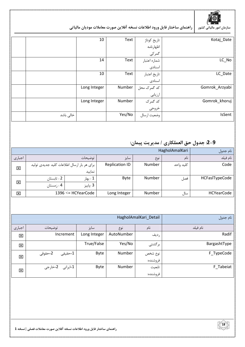

| Kotaj_Date         | تاريخ كوتاژ            | Text   | 10           |           |  |
|--------------------|------------------------|--------|--------------|-----------|--|
|                    | اظهارنامه              |        |              |           |  |
|                    | گمرکی                  |        |              |           |  |
| $LC$ <sub>No</sub> | شماره اعتبار<br>اسنادی | Text   | 14           |           |  |
|                    |                        |        |              |           |  |
| LC_Date            | تاريخ اعتبار           | Text   | 10           |           |  |
|                    | اسنادى                 |        |              |           |  |
| Gomrok_Arzyabi     | کد گمرک محل            | Number | Long Integer |           |  |
|                    | ارزيابي                |        |              |           |  |
| Gomrok_khoruj      | کد گمرک                | Number | Long Integer |           |  |
|                    | خروجى                  |        |              |           |  |
| IsSent             | وضعيت ارسال            | Yes/No |              | خالی باشد |  |
|                    |                        |        |              |           |  |

#### 9-2: جدول حق العملكاري / مديريت پيمان:

|                         | نام جدول                                   |          |                       |        |           |                   |
|-------------------------|--------------------------------------------|----------|-----------------------|--------|-----------|-------------------|
| اجبارى                  |                                            | توضيحات  |                       | نوع    | نام       | نام فيلد          |
| 区                       | برای هر بار ارسال اطلاعات کلید جدیدی تولید |          | <b>Replication ID</b> | Number | كليد واحد | Code              |
|                         |                                            | نماييد   |                       |        |           |                   |
|                         | 2 : تابستان                                | 1 : بھار | Byte                  | Number | فصل       | HCFasITypeCode    |
| 区                       | 4 : زمستان                                 | 3 :پاييز |                       |        |           |                   |
| $\overline{\mathbf{x}}$ | 1396 $\leq$ = HCYearCode                   |          | Long Integer          | Number | سال       | <b>HCYearCode</b> |

|        |                                 | نام جدول     |            |                     |              |
|--------|---------------------------------|--------------|------------|---------------------|--------------|
| اجبارى | توضيحات                         | سايز         | نوع        | نام                 | نام فيلد     |
| 区      | Increment                       | Long Integer | AutoNumber | رديف                | Radif        |
| 区      |                                 | True/False   | Yes/No     | برگشتی              | BargashtType |
| 図      | =حقیقی $\texttt{-1}$<br>2=حقوقى | <b>Byte</b>  | Number     | نوع شخص<br>فروشنده: | F_TypeCode   |
| 区      | 1⊧ایرانی 2=خارجی                | <b>Byte</b>  | Number     | تابعيت<br>فروشنده:  | F_Tabeiat    |

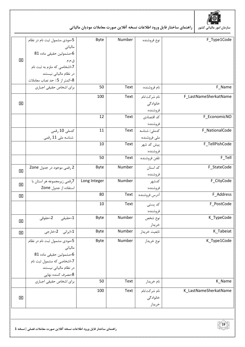

|                         | 5=مودی مشمول ثبت نام در نظام | <b>Byte</b>  | Number | نوع فروشنده   | F_Type1Code           |
|-------------------------|------------------------------|--------------|--------|---------------|-----------------------|
|                         | مالياتى                      |              |        |               |                       |
|                         | 6=مشمولين حقيقى ماده 81      |              |        |               |                       |
| 区                       | ق.م.م                        |              |        |               |                       |
|                         | 7=اشخاصی که ملزم به ثبت نام  |              |        |               |                       |
|                         | در نظام مالیاتی نیستند       |              |        |               |                       |
|                         | 8=كمتر از 5٪ حد نصاب معاملات |              |        |               |                       |
|                         | برای اشخاص حقیقی اجباری      | 50           | Text   | نام فروشنده:  | F_Name                |
|                         |                              | 100          | Text   | نام شركت/نام  | F_LastNameSherkatName |
| 区                       |                              |              |        | خانوادگی      |                       |
|                         |                              |              |        | فروشنده:      |                       |
|                         |                              | 12           | Text   | کد اقتصادی    | F_EconomicNO          |
|                         |                              |              |        | فروشنده:      |                       |
|                         | كدملى 10 رقمى                | 11           | Text   | كدملى/ شناسه  | F_NationalCode        |
|                         | شناسه ملى 11 رقمى            |              |        | ملى فروشنده:  |                       |
|                         |                              | 10           | Text   | پیش کد شهر    | F_TellPishCode        |
|                         |                              |              |        | فروشنده:      |                       |
|                         |                              | 50           | Text   | تلفن فروشنده: | F_Tell                |
| 区                       | 2 رقمی موجود در جدول Zone    | Byte         | Number | کد استان      | F_StateCode           |
|                         |                              |              |        | فروشنده:      |                       |
| 区                       | 7رقمی زیرمجموعه هر استان با  | Long Integer | Number | كدشهر         | F_CityCode            |
|                         | استفاده از جدول Zone         |              |        | فروشنده:      |                       |
| $\overline{\mathsf{x}}$ |                              | 80           | Text   | آدرس فروشنده: | F_Address             |
|                         |                              | 10           | Text   | کد پستی       | F_PostCode            |
|                         |                              |              |        | فروشنده:      |                       |
|                         | 1=حقیقی<br>2=حقوقى           | Byte         | Number | نوع شخص       | K_TypeCode            |
| 区                       |                              |              |        | خريدار        |                       |
| $\overline{\mathsf{x}}$ | 1=ايرانى 2=خارجى             | Byte         | Number | تابعيت خريدار | K_Tabeiat             |
|                         | 5=مودی مشمول ثبت نام در نظام | Byte         | Number | نوع خريدار    | K_Type1Code           |
|                         | مالیاتی                      |              |        |               |                       |
|                         | 6=مشمولين حقيقى ماده 81      |              |        |               |                       |
|                         | 7=اشخاصی که مشمول ثبت نام    |              |        |               |                       |
|                         | در نظام مالیاتی نیستند       |              |        |               |                       |
|                         | 8=مصرف كننده نهايي           |              |        |               |                       |
|                         | برای اشخاص حقیقی اجباری      | 50           | Text   | نام خريدار    | K_Name                |
|                         |                              | 100          | Text   | نام شركت/نام  | K_LastNameSherkatName |
| 区                       |                              |              |        | خانوادگی      |                       |
|                         |                              |              |        | خريدار        |                       |

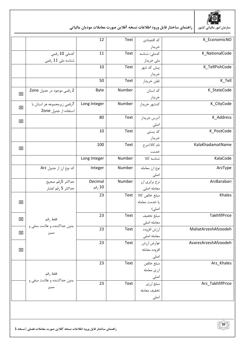

|                         |                              | 12           | Text   |                             | K_EconomicNO         |
|-------------------------|------------------------------|--------------|--------|-----------------------------|----------------------|
|                         |                              |              |        | کد اقتصادی                  |                      |
|                         |                              |              |        | خريدار                      |                      |
|                         | كدملى 10 رقمى                | 11           | Text   | كدملي/ شناسه                | K_NationalCode       |
|                         | شناسه ملی 11 رقمی            |              |        | ملي خريدار                  |                      |
|                         |                              | 10           | Text   | پیش کد شهر                  | K_TellPishCode       |
|                         |                              |              |        | خريدار                      |                      |
|                         |                              | 50           | Text   | تلفن خريدار                 | K_Tell               |
| $\boxtimes$             | 2 رقمي موجود در جدول Zone    | <b>Byte</b>  | Number | کد استان                    | K_StateCode          |
|                         |                              |              |        | خريدار                      |                      |
|                         | 7رقمی زیرمجموعه هر استان با  | Long Integer | Number | كدشهر خريدار                | K_CityCode           |
| 区                       | استفاده از جدول Zone         |              |        |                             |                      |
|                         |                              | 80           | Text   | آدرس خريدار                 | K_Address            |
| 区                       |                              |              |        |                             |                      |
|                         |                              | 10           | Text   | اصلی<br>کد پستی             | K_PostCode           |
|                         |                              |              |        | خريدار                      |                      |
|                         |                              | 100          | Text   | نام كالا/شرح                | KalaKhadamatName     |
| 区                       |                              |              |        | خدمت                        |                      |
|                         |                              | Long Integer | Number | شناسه كالا                  | KalaCode             |
|                         | کد نوع ارز از جدول Arz       | Integer      | Number | نوع ارز معامله              | ArzType              |
|                         |                              |              |        | اصلی                        |                      |
|                         | حداكثر 5رقم صحيح             | Decimal      | Number | نرخ برابري ارز              | ArzBarabari          |
|                         | حداكثر 5 رقم اعشار           | 10 رقم       |        | معامله اصلى                 |                      |
|                         |                              | 23           | Text   | مبلغ خالص كالا              | Khales               |
| $\boxtimes$             |                              |              |        | يا خدمت معامله              |                      |
|                         |                              |              |        | اصلی)                       |                      |
|                         |                              | 23           | Text   | مبلغ تخفيف                  | TakhfifPrice         |
| ⊠                       | فقط رقم                      |              |        | معامله اصلى                 |                      |
|                         | بدون جداکننده و علامت منفی و | 23           | Text   | ارزش افزوده                 | MaliatArzeshAfzoodeh |
| $\boxtimes$             | مميز                         |              |        | معامله اصلى                 |                      |
|                         |                              | 23           | Text   |                             | AvarezArzeshAfzoodeh |
|                         |                              |              |        | عوارض ارزش<br>افزوده معامله |                      |
| $\overline{\mathsf{x}}$ |                              |              |        |                             |                      |
|                         |                              |              |        | اصلی                        |                      |
|                         |                              | 23           | Text   | مبلغ خالص                   | Arz_Khales           |
|                         | فقط رقم                      |              |        | ارزى معامله                 |                      |
|                         | بدون جداکننده و علامت منفی و |              |        | اصلی                        |                      |
|                         | مميز                         | 23           | Text   | مبلغ ارزي                   | Arz_TakhfifPrice     |
|                         |                              |              |        | تخفيف معامله                |                      |
|                         |                              |              |        | اصلی                        |                      |

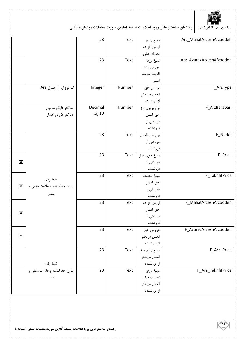

\_\_\_\_<br>سازمان امور مالیاتی کشور | راهنمای ساختار فایل ورود اطلاعات نسخه آفلاین صورت معاملات مودیان مالیاتی

|              |                              | 23      | Text   | مبلغ ارزي      | Arz_MaliatArzeshAfzoodeh |
|--------------|------------------------------|---------|--------|----------------|--------------------------|
|              |                              |         |        | ارزش افزوده    |                          |
|              |                              |         |        | معامله اصلى    |                          |
|              |                              | 23      | Text   | مبلغ ارزي      | Arz_AvarezArzeshAfzoodeh |
|              |                              |         |        | عوارض ارزش     |                          |
|              |                              |         |        | افزوده معامله  |                          |
|              |                              |         |        | اصلی           |                          |
|              | کد نوع ارز از جدول Arz       | Integer | Number | نوع ارز حق     | F_ArzType                |
|              |                              |         |        | العمل دريافتي  |                          |
|              |                              |         |        | از فروشنده     |                          |
|              | حداكثر 5رقم صحيح             | Decimal | Number | نرخ برابري ارز | F_ArzBarabari            |
|              | حداكثر 5 ,قم اعشار           | 10 رقم  |        | حق العمل       |                          |
|              |                              |         |        | دریافتی از     |                          |
|              |                              |         |        | فروشنده        |                          |
|              |                              | 23      | Text   | نرخ حق العمل   | F_Nerkh                  |
|              |                              |         |        | دریافتی از     |                          |
|              |                              |         |        | فروشنده        |                          |
|              |                              | 23      | Text   | مبلغ حق العمل  | F_Price                  |
| 区            |                              |         |        | دریافتی از     |                          |
|              |                              |         |        | فروشنده        |                          |
|              |                              | 23      | Text   | مبلغ تخفيف     | F_TakhfifPrice           |
| 区            | فقط رقم                      |         |        | حق العمل       |                          |
|              | بدون جداكننده و علامت منفي و |         |        | دریافتی از     |                          |
|              | مميز                         |         |        | فروشنده        |                          |
|              |                              | 23      | Text   | ارزش افزوده    | F_MaliatArzeshAfzoodeh   |
| $\mathbf{x}$ |                              |         |        | حق العمل       |                          |
|              |                              |         |        | دریافتی از     |                          |
|              |                              |         |        | فروشنده        |                          |
|              |                              | 23      | Text   | عوارض حق       | F_AvarezArzeshAfzoodeh   |
| 区            |                              |         |        | العمل دريافتي  |                          |
|              |                              |         |        | از فروشنده     |                          |
|              |                              | 23      | Text   | مبلغ ارزي حق   | F_Arz_Price              |
|              |                              |         |        | العمل دريافتي  |                          |
|              | فقط رقم                      |         |        | از فروشنده     |                          |
|              | بدون جداكننده و علامت منفى و | 23      | Text   | مبلغ ارزي      | F_Arz_TakhfifPrice       |
|              | مميز                         |         |        | تخفيف حق       |                          |
|              |                              |         |        | العمل دريافتي  |                          |
|              |                              |         |        | از فروشنده     |                          |

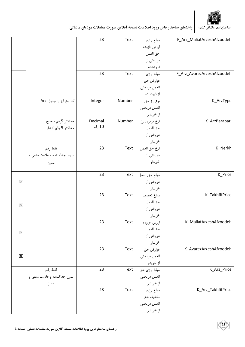

|   |                              | 23      | Text   | مبلغ ارزي      | F_Arz_MaliatArzeshAfzoodeh |
|---|------------------------------|---------|--------|----------------|----------------------------|
|   |                              |         |        | ارزش افزوده    |                            |
|   |                              |         |        | حق العمل       |                            |
|   |                              |         |        | دریافتی از     |                            |
|   |                              |         |        | فروشنده        |                            |
|   |                              | 23      | Text   | مبلغ ارزى      | F_Arz_AvarezArzeshAfzoodeh |
|   |                              |         |        | عوارض حق       |                            |
|   |                              |         |        | العمل دريافتي  |                            |
|   |                              |         |        | از فروشنده     |                            |
|   | كد نوع ارز از جدول Arz       | Integer | Number | نوع ارز حق     | K_ArzType                  |
|   |                              |         |        | العمل دريافتي  |                            |
|   |                              |         |        | از خريدار      |                            |
|   | حداكثر 5رقم صحيح             | Decimal | Number | نرخ برابري ارز | K_ArzBarabari              |
|   | حداكثر 5 رقم اعشار           | 10 رقم  |        | حق العمل       |                            |
|   |                              |         |        | دریافتی از     |                            |
|   |                              |         |        | خريدار         |                            |
|   | فقط رقم                      | 23      | Text   | نرخ حق العمل   | K_Nerkh                    |
|   | بدون جداکننده و علامت منفی و |         |        | دریافتی از     |                            |
|   | مميز                         |         |        | خريدار         |                            |
|   |                              |         |        |                |                            |
|   |                              | 23      | Text   | مبلغ حق العمل  | K_Price                    |
| 区 |                              |         |        | دریافتی از     |                            |
|   |                              |         |        | خريدار         |                            |
|   |                              | 23      | Text   | مبلغ تخفيف     | K_TakhfifPrice             |
| 区 |                              |         |        | حق العمل       |                            |
|   |                              |         |        | دریافتی از     |                            |
|   |                              |         |        | خريدار         |                            |
|   |                              | 23      | Text   | ارزش افزوده    | K_MaliatArzeshAfzoodeh     |
| 区 |                              |         |        | حق العمل       |                            |
|   |                              |         |        | دریافتی از     |                            |
|   |                              |         |        | خريدار         |                            |
|   |                              | 23      | Text   | عوارض حق       | K_AvarezArzeshAfzoodeh     |
| 区 |                              |         |        | العمل دريافتي  |                            |
|   |                              |         |        | از خریدار      |                            |
|   | فقط رقم                      | 23      | Text   | مبلغ ارزي حق   | K_Arz_Price                |
|   | بدون جداکننده و علامت منفی و |         |        | العمل دريافتي  |                            |
|   | مميز                         |         |        | از خريدار      |                            |
|   |                              | 23      | Text   | مبلغ ارزي      | K_Arz_TakhfifPrice         |
|   |                              |         |        | تخفيف حق       |                            |
|   |                              |         |        | العمل دريافتي  |                            |
|   |                              |         |        | از خریدار      |                            |
|   |                              |         |        |                |                            |

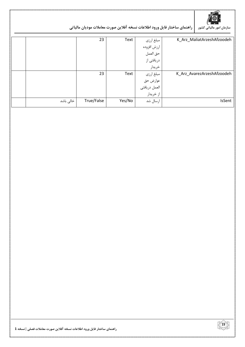

|  |           | 23         | Text   | مبلغ ارزي                  | K_Arz_MaliatArzeshAfzoodeh |
|--|-----------|------------|--------|----------------------------|----------------------------|
|  |           |            |        | ارزش افزوده                |                            |
|  |           |            |        | حق العمل                   |                            |
|  |           |            |        | دریافتی از                 |                            |
|  |           |            |        | خريدار                     |                            |
|  |           | 23         | Text   | مبلغ ارزي                  | K Arz AvarezArzeshAfzoodeh |
|  |           |            |        | عوارض حق                   |                            |
|  |           |            |        | العمل دريافتي<br>از خريدار |                            |
|  |           |            |        |                            |                            |
|  | خالی باشد | True/False | Yes/No | ارسال شد                   | IsSent                     |
|  |           |            |        |                            |                            |

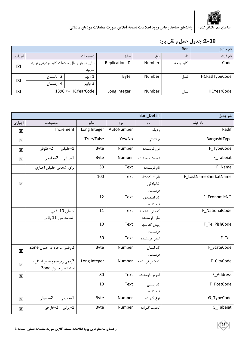

#### 2-10: جدول حمل و نقل بار:

|                         |                                            |                          |                       |        | Bar       | نام جدول          |
|-------------------------|--------------------------------------------|--------------------------|-----------------------|--------|-----------|-------------------|
| اجبارى                  |                                            | توضيحات                  | سايز                  | نوع    | نام       | نام فيلد          |
| $\overline{\mathsf{x}}$ | برای هر بار ارسال اطلاعات کلید جدیدی تولید |                          | <b>Replication ID</b> | Number | كليد واحد | Code              |
|                         |                                            | نماييد                   |                       |        |           |                   |
|                         | 2 : تابستان                                | .1 : بهار                | Byte                  | Number | فصل       | HCFasITypeCode    |
| $\overline{\mathsf{x}}$ | 4 : ;مستان                                 | 3 :پاييز                 |                       |        |           |                   |
| 区                       |                                            | 1396 $\leq$ = HCYearCode | Long Integer          | Number | سال       | <b>HCYearCode</b> |

|                         |                             | Bar_Detail   | نام جدول   |                |                       |
|-------------------------|-----------------------------|--------------|------------|----------------|-----------------------|
| اجبارى                  | توضيحات                     | سايز         | نوع        | نام            | نام فيلد              |
| $\overline{\mathsf{x}}$ | Increment                   | Long Integer | AutoNumber | رديف           | Radif                 |
| 区                       |                             | True/False   | Yes/No     | برگشتی         | BargashtType          |
| 図                       | 1=حقيقى ___ 2=حقوقى         | Byte         | Number     | نوع فرستنده    | F_TypeCode            |
| 区                       | 1=ايرانى 2=خارجى            | Byte         | Number     | تابعيت فرستنده | F_Tabeiat             |
|                         | برای اشخاص حقیقی اجباری     | 50           | Text       | نام فرستنده    | F_Name                |
|                         |                             | 100          | Text       | نام شركت/نام   | F_LastNameSherkatName |
| 区                       |                             |              |            | خانوادگى       |                       |
|                         |                             |              |            | فرستنده        |                       |
|                         |                             | 12           | Text       | کد اقتصادی     | F_EconomicNO          |
|                         |                             |              |            | فرستنده        |                       |
|                         | كدملى 10 رقمى               | 11           | Text       | كدملي/ شناسه   | F_NationalCode        |
|                         | شناسه ملی 11 رقمی           |              |            | ملى فرستنده    |                       |
|                         |                             | 10           | Text       | پیش کد شهر     | F_TellPishCode        |
|                         |                             |              |            | فرستنده        |                       |
|                         |                             | 50           | Text       | تلفن فرستنده   | F_Tell                |
| 区                       | 2 رقمي موجود در جدول Zone   | <b>Byte</b>  | Number     | کد استان       | F_StateCode           |
|                         |                             |              |            | فرستنده        |                       |
| 区                       | 7,قمی زیرمجموعه هر استان با | Long Integer | Number     | كدشهر فرستنده  | F_CityCode            |
|                         | استفاده از جدول Zone        |              |            |                |                       |
| 区                       |                             | 80           | Text       | آدرس فرستنده   | F_Address             |
|                         |                             | 10           | Text       | کد پستی        | F_PostCode            |
|                         |                             |              |            | فرستنده        |                       |
| 区                       | 1=حقيقى 2=حقوقى             | Byte         | Number     | نوع گيرنده     | G_TypeCode            |
| 区                       | 1⊨ايرانى 2=خارجى            | <b>Byte</b>  | Number     | تابعيت گيرنده  | G_Tabeiat             |



راهنمای ساختار فایل ورود اطلاعات نسخه آفلاین صورت معاملات فصلی | نسخه 1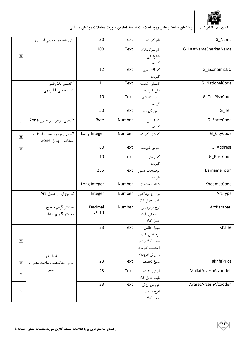

|                      | برای اشخاص حقیقی اجباری      | 50           | Text   | نام گیرنده      | G_Name                |
|----------------------|------------------------------|--------------|--------|-----------------|-----------------------|
|                      |                              | 100          | Text   | نام شركت/نام    | G_LastNameSherkatName |
| $\boxtimes$          |                              |              |        | خانوادگی        |                       |
|                      |                              |              |        | گيرنده          |                       |
|                      |                              | 12           | Text   | كد اقتصادى      | G_EconomicNO          |
|                      |                              |              |        | گيرنده          |                       |
|                      | ` كدملي 10 رقمي              | 11           | Text   | كدملي/ شناسه    | G_NationalCode        |
|                      | شناسه ملی 11 رقمی            |              |        | ملی گیرنده      |                       |
|                      |                              | 10           | Text   | پیش کد شهر      | G_TellPishCode        |
|                      |                              |              |        | گيرنده          |                       |
|                      |                              | 50           | Text   | تلفن گيرنده     | G_Tell                |
| 区                    | 2 رقمی موجود در جدول Zone    | <b>Byte</b>  | Number | کد استان        | G_StateCode           |
|                      |                              |              |        | گيرنده          |                       |
| 区                    | 7رقمی زیرمجموعه هر استان با  | Long Integer | Number | كدشهر گيرنده    | G_CityCode            |
|                      | استفاده از جدول Zone         |              |        |                 |                       |
| $\boxtimes$          |                              | 80           | Text   | أدرس گيرنده     | G Address             |
|                      |                              | 10           | Text   | کد پستی         | G_PostCode            |
|                      |                              |              |        | گيرنده          |                       |
|                      |                              | 255          | Text   | توضيحات صدور    | BarnameTozih          |
|                      |                              |              |        | بار نامه        |                       |
|                      |                              | Long Integer | Number | شناسه خدمت      | KhedmatCode           |
|                      | کد نوع ارز از جدول Arz       | Integer      | Number | نوع ارز پرداختی | ArzType               |
|                      |                              |              |        | بابت حمل كالا   |                       |
|                      | حداكثر 5رقم صحيح             | Decimal      | Number | نرخ برابري ارز  | ArzBarabari           |
|                      | حداكثر 5 رقم اعشار           | 10 رقم       |        | پرداختی بابت    |                       |
|                      |                              |              |        | حمل كالا        |                       |
|                      |                              | 23           | Text   | مبلغ خالص       | Khales                |
|                      |                              |              |        | پرداختی بابت    |                       |
| $\boxed{\mathsf{X}}$ |                              |              |        | حمل كالا (بدون  |                       |
|                      |                              |              |        | احتساب كارمزد   |                       |
|                      | فقط رقم                      |              |        | و ارزش افزوده)  |                       |
| 区                    | بدون جداكننده و علامت منفي و | 23           | Text   | مبلغ تخفيف      | TakhfifPrice          |
| 区                    | مميز                         | 23           | Text   | ارزش افزوده     | MaliatArzeshAfzoodeh  |
|                      |                              |              |        | بابت حمل كالا   |                       |
|                      |                              | 23           | Text   | عوارض ارزش      | AvarezArzeshAfzoodeh  |
| 区                    |                              |              |        | افزوده بابت     |                       |
|                      |                              |              |        | حمل كالا        |                       |

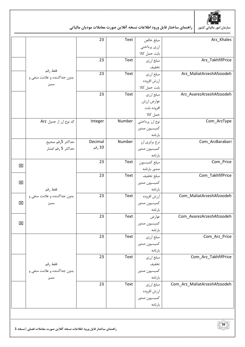

|                         |                              | 23      | Text   | مبلغ خالص       | Arz_Khales                   |
|-------------------------|------------------------------|---------|--------|-----------------|------------------------------|
|                         |                              |         |        | ارزي پرداختي    |                              |
|                         |                              |         |        | بابت حمل كالا   |                              |
|                         |                              | 23      | Text   | مبلغ ارزي       | Arz_TakhfifPrice             |
|                         |                              |         |        | تخفيف           |                              |
|                         | فقط رقم                      | 23      | Text   | مبلغ ارزي       | Arz_MaliatArzeshAfzoodeh     |
|                         | بدون جداكننده و علامت منفي و |         |        | ارزش افزوده     |                              |
|                         | مميز                         |         |        | بابت حمل كالا   |                              |
|                         |                              | 23      | Text   | مبلغ ارزي       | Arz_AvarezArzeshAfzoodeh     |
|                         |                              |         |        | عوارض ارزش      |                              |
|                         |                              |         |        | افزوده بابت     |                              |
|                         |                              |         |        | حمل كالا        |                              |
|                         | کد نوع ارز از جدول Arz       | Integer | Number | نوع ارز پرداختی | Com_ArzType                  |
|                         |                              |         |        | كميسيون صدور    |                              |
|                         |                              |         |        | بارنامه         |                              |
|                         | حداكثر 5رقم صحيح             | Decimal | Number | نرخ برابري ارز  | Com_ArzBarabari              |
|                         | حداكثر 5 رقم اعشار           | 10 رقم  |        | كميسيون صدور    |                              |
|                         |                              |         |        | بارنامه         |                              |
|                         |                              | 23      | Text   | مبلغ كميسيون    | Com_Price                    |
| 図                       |                              |         |        | صدور بارنامه    |                              |
|                         |                              | 23      | Text   | مبلغ تخفيف      | Com_TakhfifPrice             |
| $\overline{\mathsf{x}}$ |                              |         |        | كميسيون صدور    |                              |
|                         | فقط رقم                      |         |        | بارنامه         |                              |
|                         | بدون جداکننده و علامت منفی و | 23      | Text   | ارزش افزوده     | Com_MaliatArzeshAfzoodeh     |
| 区                       | مميز                         |         |        | كميسيون صدور    |                              |
|                         |                              |         |        | بارنامه         |                              |
|                         |                              | 23      | Text   | عوارض           | Com_AvarezArzeshAfzoodeh     |
| 区                       |                              |         |        | كميسيون صدور    |                              |
|                         |                              |         |        | بارنامه         |                              |
|                         |                              | 23      | Text   | مبلغ ارزي       | Com_Arz_Price                |
|                         |                              |         |        | كميسيون صدور    |                              |
|                         |                              |         |        | بارنامه         |                              |
|                         |                              | 23      | Text   | مبلغ ارزي       | Com_Arz_TakhfifPrice         |
|                         | فقط رقم                      |         |        | تخفيف           |                              |
|                         | بدون جداکننده و علامت منفی و |         |        | كميسيون صدور    |                              |
|                         | مميز                         |         |        | بارنامه         |                              |
|                         |                              | 23      | Text   | مبلغ ارزي       | Com_Arz_MaliatArzeshAfzoodeh |
|                         |                              |         |        | ارزش افزوده     |                              |
|                         |                              |         |        | كميسيون صدور    |                              |
|                         |                              |         |        | بار نامه        |                              |

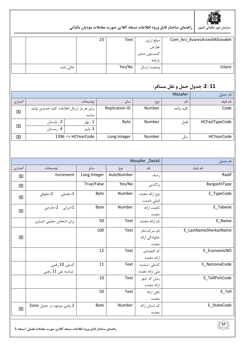

| عوارض<br>تميسيون صدور              |  | 23 | Text | مبلغ ارزي | Com_Arz_AvarezArzeshAfzoodeh |
|------------------------------------|--|----|------|-----------|------------------------------|
|                                    |  |    |      |           |                              |
|                                    |  |    |      |           |                              |
| بار نامه                           |  |    |      |           |                              |
| Yes/No<br>خالی باشد<br>وضعيت ارسال |  |    |      |           | <b>IsSent</b>                |

#### 11-2: جدول حمل و نقل مسافر:

|        | نام جدول      |                                            |              |        |           |                   |
|--------|---------------|--------------------------------------------|--------------|--------|-----------|-------------------|
| اجبارى |               | توضيحات                                    | سايز         | نوع    | نام       | نام فيلد          |
| 区      |               | برای هر بار ارسال اطلاعات کلید جدیدی تولید |              | Number | كليد واحد | Code              |
|        |               | نماييد                                     |              |        |           |                   |
|        | ، 2 : تابستان | 1 : بهار                                   | Byte         | Number | ٔ فصل     | HCFasITypeCode    |
| 区      | : 4 خ مستان   | 3 :پاييز                                   |              |        |           |                   |
| 区      |               | 1396 <= HCYearCode                         | Long Integer | Number | سال       | <b>HCYearCode</b> |

|             |                                | Mosafer_Detail | نام جدول   |                 |                       |
|-------------|--------------------------------|----------------|------------|-----------------|-----------------------|
| اجبارى      | توضيحات                        | سايز           | نوع        | نام             | نام فيلد              |
| 囟           | Increment                      | Long Integer   | AutoNumber | رديف            | Radif                 |
| 区           |                                | True/False     | Yes/No     | برگشتی          | BargashtType          |
| 区           | 2=حقوقى<br>=حقیقی $\texttt{1}$ | <b>Byte</b>    | Number     | نوع ارائه دهنده | E_TypeCode            |
|             |                                |                |            | اصلی خدمت       |                       |
| $\boxtimes$ | 1=ايرانى    2=خارجى            | Byte           | Number     | تابعيت ارائه    | E_Tabeiat             |
|             |                                |                |            | دهنده           |                       |
|             | برای اشخاص حقیقی اجباری        | 50             | Text       | نام ارائه دهنده | E_Name                |
|             |                                | 100            | Text       | نام شركت/نام    | E_LastNameSherkatName |
| 囟           |                                |                |            | خانوادگی ارائه  |                       |
|             |                                |                |            | دهنده           |                       |
|             |                                | 12             | Text       | کد اقتصادی      | E_EconomicNO          |
|             |                                |                |            | ارائه دهنده     |                       |
|             | كدملي 10 رقمي                  | 11             | Text       | كدملي/ شناسه    | E_NationalCode        |
|             | شناسه ملى 11 رقمى              |                |            | ملي ارائه دهنده |                       |
|             |                                | 10             | Text       | پیش کد شهر      | E_TellPishCode        |
|             |                                |                |            | ارائه دهنده     |                       |
|             |                                | 50             | Text       | تلفن ارائه      | E_Tell                |
|             |                                |                |            | دهنده           |                       |
| 区           | 2 رقمي موجود در جدول Zone      | <b>Byte</b>    | Number     | كد استان ارائه  | E_StateCode           |
|             |                                |                |            | دهنده           |                       |

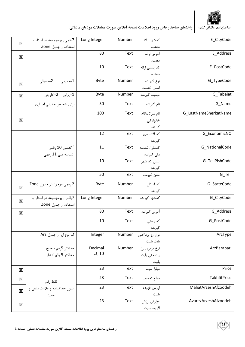

|             | 7رقمی زیرمجموعه هر استان با  | Long Integer | Number | كدشهر ارائه     | E_CityCode            |
|-------------|------------------------------|--------------|--------|-----------------|-----------------------|
| 区           | استفاده از جدول Zone         |              |        | دهنده           |                       |
|             |                              | 80           | Text   | أدرس ارائه      | E_Address             |
| $\boxtimes$ |                              |              |        | دهنده           |                       |
|             |                              | 10           | Text   | كد پستي ارائه   | E_PostCode            |
|             |                              |              |        | دهنده           |                       |
|             | 2=حقوقى<br>1=حقيقى           | <b>Byte</b>  | Number | نوع گيرنده      | G_TypeCode            |
| 区           |                              |              |        | اصلی خدمت       |                       |
| $\boxtimes$ | 1=ايرانى 2=خارجى             | Byte         | Number | تابعيت گيرنده   | G_Tabeiat             |
|             | برای اشخاص حقیقی اجباری      | 50           | Text   | نام گیرنده      | G_Name                |
|             |                              | 100          | Text   | نام شركت/نام    | G_LastNameSherkatName |
| ⊠           |                              |              |        | خانوادگی        |                       |
|             |                              |              |        | گيرنده          |                       |
|             |                              | 12           | Text   | كد اقتصادى      | G_EconomicNO          |
|             |                              |              |        | گيرنده          |                       |
|             | ` كدملي 10 رقمي              | 11           | Text   | كدملي/ شناسه    | G_NationalCode        |
|             | شناسه ملی 11 رقمی            |              |        | ملی گیرنده      |                       |
|             |                              | 10           | Text   | پیش کد شهر      | G_TellPishCode        |
|             |                              |              |        | گيرنده          |                       |
|             |                              | 50           | Text   | تلفن گيرنده     | G_Tell                |
|             | 2 رقمي موجود در جدول Zone    | Byte         | Number | کد استان        | G_StateCode           |
| 区           |                              |              |        | گيرنده          |                       |
|             | 7,قمی زیرمجموعه هر استان با  | Long Integer | Number | كدشهر گيرنده    | G_CityCode            |
| 区           | استفاده از جدول Zone         |              |        |                 |                       |
| 区           |                              | 80           | Text   | آدرس گیرنده     | G_Address             |
|             |                              | 10           | Text   | کد پستی         | G_PostCode            |
|             |                              |              |        | گيرنده          |                       |
|             | کد نوع ارز از جدول Arz       | Integer      | Number | نوع ارز پرداختی | ArzType               |
|             |                              |              |        | بابت بليت       |                       |
|             | حداكثر 5رقم صحيح             | Decimal      | Number | نرخ برابري ارز  | ArzBarabari           |
|             | حداكثر 5 رقم اعشار           | 10 رقم       |        | پرداختی بابت    |                       |
|             |                              |              |        | بليت            |                       |
| $\boxtimes$ |                              | 23           | Text   | مبلغ بليت       | Price                 |
| 図           | فقط رقم                      | 23           | Text   | مبلغ تخفيف      | TakhfifPrice          |
|             | بدون جداكننده و علامت منفي و | 23           | Text   | ارزش افزوده     | MaliatArzeshAfzoodeh  |
| 区           | مميز                         |              |        | بليت            |                       |
|             |                              | 23           | Text   | عوارض ارزش      | AvarezArzeshAfzoodeh  |
| 図           |                              |              |        | افزوده بليت     |                       |

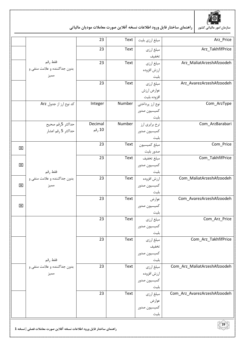

|             |                                        | 23      | Text   | مبلغ ارزي بليت              | Arz_Price                    |
|-------------|----------------------------------------|---------|--------|-----------------------------|------------------------------|
|             |                                        | 23      | Text   | مبلغ ارزي                   | Arz_TakhfifPrice             |
|             |                                        |         |        | تخفيف                       |                              |
|             | فقط رقم                                | 23      | Text   | مبلغ ارزى                   | Arz_MaliatArzeshAfzoodeh     |
|             | بدون جداكننده و علامت منفي و           |         |        | ارزش افزوده                 |                              |
|             | مميز                                   |         |        | بليت                        |                              |
|             |                                        | 23      | Text   | مبلغ ارزي                   | Arz_AvarezArzeshAfzoodeh     |
|             |                                        |         |        | عوارض ارزش                  |                              |
|             |                                        |         |        | افزوده بليت                 |                              |
|             | کد نوع ارز از جدول Arz                 | Integer | Number | نوع ارز پرداختی             | Com_ArzType                  |
|             |                                        |         |        | كميسيون صدور                |                              |
|             |                                        | Decimal | Number | بليت                        | Com_ArzBarabari              |
|             | حداكثر 5رقم صحيح<br>حداكثر 5 رقم اعشار | 10 رقم  |        | نرخ برابري ارز              |                              |
|             |                                        |         |        | كميسيون صدور<br>بليت        |                              |
|             |                                        | 23      | Text   | مبلغ كميسيون                | Com_Price                    |
| 図           |                                        |         |        | صدور بليت                   |                              |
|             |                                        | 23      | Text   | مبلغ تخفيف                  | Com_TakhfifPrice             |
| $\boxtimes$ |                                        |         |        | كميسيون صدور                |                              |
|             | فقط رقم                                |         |        | بليت                        |                              |
|             | بدون جداكننده و علامت منفي و           | 23      | Text   | ارزش افزوده                 | Com_MaliatArzeshAfzoodeh     |
| $\boxtimes$ | مميز                                   |         |        | كميسيون صدور                |                              |
|             |                                        |         |        | بليت                        |                              |
|             |                                        | 23      | Text   | عوارض                       | Com_AvarezArzeshAfzoodeh     |
| ⊠           |                                        |         |        | كميسيون صدور                |                              |
|             |                                        |         |        | بليت                        |                              |
|             |                                        | 23      | Text   | مبلغ ارزي                   | Com_Arz_Price                |
|             |                                        |         |        | كميسيون صدور                |                              |
|             |                                        |         |        | بليت                        |                              |
|             |                                        | 23      | Text   | مبلغ ارزي                   | Com_Arz_TakhfifPrice         |
|             |                                        |         |        | تخفيف                       |                              |
|             |                                        |         |        | كميسيون صدور                |                              |
|             | فقط رقم                                | 23      | Text   | بليت                        | Com_Arz_MaliatArzeshAfzoodeh |
|             | بدون جداكننده و علامت منفى و<br>مميز   |         |        | مبلغ ارزي                   |                              |
|             |                                        |         |        | ارزش افزوده<br>كميسيون صدور |                              |
|             |                                        |         |        | بليت                        |                              |
|             |                                        | 23      | Text   | مبلغ ارزي                   | Com_Arz_AvarezArzeshAfzoodeh |
|             |                                        |         |        | عوارض                       |                              |
|             |                                        |         |        | كميسيون صدور                |                              |
|             |                                        |         |        | بليت                        |                              |

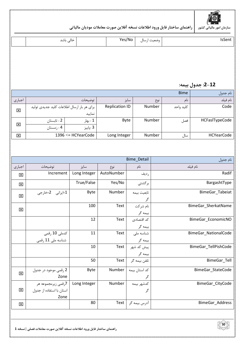

|  | خالے باشد<br>$\check{\phantom{a}}$ | Yes/No | $\ddot{\phantom{1}}$<br>$\bullet$<br>ا، ساا<br>مصعبت<br>$\cdots$<br>$\overline{\phantom{a}}$ | ssent |
|--|------------------------------------|--------|----------------------------------------------------------------------------------------------|-------|

#### 2-12: جدول بيمه:

|        | نام جدول      |                                            |              |        |           |                   |
|--------|---------------|--------------------------------------------|--------------|--------|-----------|-------------------|
| اجبارى |               | توضيحات                                    | سايز         | نوع    | نام       | نام فيلد          |
| 区      |               | برای هر بار ارسال اطلاعات کلید جدیدی تولید |              | Number | كليد واحد | Code              |
|        |               | نماييد                                     |              |        |           |                   |
|        | . 2 : تابستان | 1 : بھار                                   | Byte         | Number | فصل       | HCFaslTypeCode    |
| 区      | 4 : زمستان    | : پاييز                                    |              |        |           |                   |
| 区      |               | 1396 <= HCYearCode                         | Long Integer | Number | سال       | <b>HCYearCode</b> |

|                         |                          |              |            | Bime_Detail   | نام جدول             |
|-------------------------|--------------------------|--------------|------------|---------------|----------------------|
| اجبارى                  | توضيحات                  | سايز         | نوع        | نام           | نام فيلد             |
| 区                       | Increment                | Long Integer | AutoNumber | رديف          | Radif                |
| $\boxtimes$             |                          | True/False   | Yes/No     | برگشتی        | BargashtType         |
| 区                       | 1⊧ایرانی 2=خارجی         | <b>Byte</b>  | Number     | تابعيت بيمه   | BimeGar_Tabeiat      |
|                         |                          |              |            |               |                      |
| 囟                       |                          | 100          | Text       | نام شركت      | BimeGar_SherkatName  |
|                         |                          |              |            | بیمه گر       |                      |
|                         |                          | 12           | Text       | كد اقتصادى    | BimeGar_EconomicNO   |
|                         |                          |              |            | بیمه گر       |                      |
|                         | كدملى 10 رقمى            | 11           | Text       | شناسه ملى     | BimeGar_NationalCode |
|                         | شناسه ملى 11 رقمى        |              |            | بیمه گر       |                      |
|                         |                          | 10           | Text       | پیش کد شهر    | BimeGar_TellPishCode |
|                         |                          |              |            | بیمه گر       |                      |
|                         |                          | 50           | Text       | تلفن بيمه گر  | BimeGar_Tell         |
| 区                       | 2 رقمي موجود در جدول     | Byte         | Number     | كد استان بيمه | BimeGar_StateCode    |
|                         | Zone                     |              |            |               |                      |
|                         | 7رقمي زيرمجموعه هر       | Long Integer | Number     | كدشهر بيمه    | BimeGar_CityCode     |
| 区                       | استان با استفاده از جدول |              |            | گر            |                      |
|                         | Zone                     |              |            |               |                      |
| $\mathbf{\overline{X}}$ |                          | 80           | Text       | آدرس بیمه گر  | BimeGar_Address      |

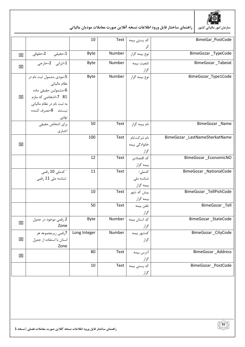

|                         |                            | 10           | Text   | کد پستی بیمه  | BimeGar_PostCode              |
|-------------------------|----------------------------|--------------|--------|---------------|-------------------------------|
|                         |                            |              |        |               |                               |
| 図                       | 1=حقيقى 2=حقوقى            | <b>Byte</b>  | Number | نوع بيمه گزار | BimeGozar_TypeCode            |
|                         | 1=ايرانى 2=خارجى           | <b>Byte</b>  | Number | تابعيت بيمه   | BimeGozar_Tabeiat             |
| 区                       |                            |              |        | گزار          |                               |
|                         | 5=مودی مشمول ثبت نام در    | Byte         | Number | نوع بيمه گزار | BimeGozar_Type1Code           |
|                         | نظام مالیاتی               |              |        |               |                               |
|                         | 6=مشمولين حقيقي ماده       |              |        |               |                               |
| $\boxtimes$             | 81۔ 7=اشخاصی که ملزم       |              |        |               |                               |
|                         | به ثبت نام در نظام مالياتي |              |        |               |                               |
|                         | نيستند 8=مصرف كننده        |              |        |               |                               |
|                         |                            |              |        |               |                               |
|                         | نهایی<br>براي اشخاص حقيقى  | 50           | Text   | نام بیمه گزار | BimeGozar_Name                |
|                         |                            |              |        |               |                               |
|                         | اجبارى                     | 100          | Text   |               |                               |
|                         |                            |              |        | نام شركت/نام  | BimeGozar_LastNameSherkatName |
| $\boxtimes$             |                            |              |        | خانوادگی بیمه |                               |
|                         |                            |              |        | گزار          |                               |
|                         |                            | 12           | Text   | کد اقتصادی    | BimeGozar_EconomicNO          |
|                         |                            |              |        | بیمه گزار     |                               |
|                         | ` كدملي 10 رقمي            | 11           | Text   | کدملی /       | BimeGozar_NationalCode        |
|                         | شناسه ملی 11 رقمی          |              |        | شناسه ملى     |                               |
|                         |                            |              |        | بیمه گزار     |                               |
|                         |                            | 10           | Text   | پیش کد شهر    | BimeGozar_TellPishCode        |
|                         |                            |              |        | بیمه گزار     |                               |
|                         |                            | 50           | Text   | تلفن بيمه     | BimeGozar_Tell                |
|                         |                            |              |        | گزار          |                               |
|                         | 2 رقمی موجود در جدول       | Byte         | Number | کد استان بیمه | BimeGozar_StateCode           |
| 区                       | Zone                       |              |        | گزار          |                               |
|                         | 7رقمي زيرمجموعه هر         | Long Integer | Number | كدشهر بيمه    | BimeGozar_CityCode            |
| 図                       | استان با استفاده از جدول   |              |        | گزار          |                               |
|                         | Zone                       |              |        |               |                               |
|                         |                            | 80           | Text   | أدرس بيمه     | BimeGozar_Address             |
| $\overline{\mathsf{x}}$ |                            |              |        | گزار          |                               |
|                         |                            | 10           | Text   | کد پستی بیمه  | BimeGozar_PostCode            |
|                         |                            |              |        | گزار          |                               |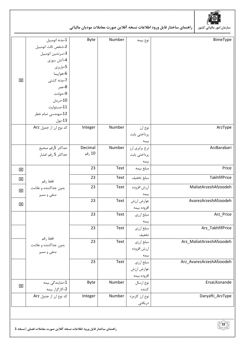

|                         | 1=بدنه اتومبيل         | Byte    | Number |                   | BimeType                 |
|-------------------------|------------------------|---------|--------|-------------------|--------------------------|
|                         | 2=شخص ثالث اتومبيل     |         |        | نوع بيمه          |                          |
|                         |                        |         |        |                   |                          |
|                         | 3=سرنشين اتومبيل       |         |        |                   |                          |
|                         | 4=آتش سوزی             |         |        |                   |                          |
|                         | 5=باربری               |         |        |                   |                          |
|                         | 6=هواپيما              |         |        |                   |                          |
| 区                       | 7=بدنه کشتی            |         |        |                   |                          |
|                         | 8=عمر                  |         |        |                   |                          |
|                         | 9=حوادث                |         |        |                   |                          |
|                         | 10=درمان               |         |        |                   |                          |
|                         | 11=مسئوليت             |         |        |                   |                          |
|                         | 12=مهندسی تمام خطر     |         |        |                   |                          |
|                         | 13=پول                 |         |        |                   |                          |
|                         | کد نوع ارز از جدول Arz | Integer | Number | نوع ارز           | ArzType                  |
|                         |                        |         |        | پرداختی بابت      |                          |
|                         |                        |         |        | بيمه              |                          |
|                         | حداكثر 5رقم صحيح       | Decimal | Number | نرخ برابري ارز    | ArzBarabari              |
|                         | حداكثر 5 رقم اعشار     | 10 رقم  |        | پرداختی بابت      |                          |
|                         |                        |         |        | بيمه              |                          |
| $\overline{\mathsf{x}}$ |                        | 23      | Text   | مبلغ بيمه         | Price                    |
| $\overline{\mathsf{x}}$ | فقط رقم                | 23      | Text   | مبلغ تخفيف        | TakhfifPrice             |
|                         | بدون جداكننده و علامت  | 23      | Text   | ارزش افزوده       | MaliatArzeshAfzoodeh     |
| 区                       | منفي و مميز            |         |        | بيمه              |                          |
|                         |                        | 23      | Text   | عوارض ارزش        | AvarezArzeshAfzoodeh     |
| 区                       |                        |         |        | افزوده بيمه       |                          |
|                         |                        | 23      | Text   | مبلغ ارزي         | Arz_Price                |
|                         |                        |         |        |                   |                          |
|                         |                        | 23      | Text   | بيمه<br>مبلغ ارزي | Arz_TakhfifPrice         |
|                         |                        |         |        | تخفيف             |                          |
|                         | فقط رقم                | 23      | Text   |                   | Arz_MaliatArzeshAfzoodeh |
|                         | بدون جداكننده و علامت  |         |        | مبلغ ارزي         |                          |
|                         | منفى و مميز            |         |        | ارزش افزوده       |                          |
|                         |                        |         |        | بيمه              |                          |
|                         |                        | 23      | Text   | مبلغ ارزي         | Arz_AvarezArzeshAfzoodeh |
|                         |                        |         |        | عوارض ارزش        |                          |
|                         |                        |         |        | افزوده بيمه       |                          |
| 区                       | 1=نمایندگی بیمه        | Byte    | Number | نوع ارسال         | ErsaLKonande             |
|                         | 2=کار گزار بیمه        |         |        | كننده             |                          |
|                         | کد نوع ارز از جدول Arz | Integer | Number | نوع ارز كارمزد    | Daryafti_ArzType         |
|                         |                        |         |        | دريافتى           |                          |

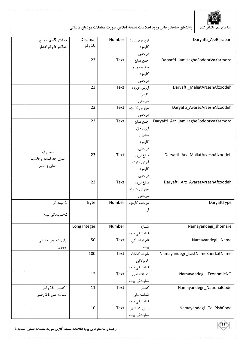

| حداكثر 5رقم صحيح      | Decimal      | Number | نرخ برابري ارز                                        | Daryafti_ArzBarabari                 |
|-----------------------|--------------|--------|-------------------------------------------------------|--------------------------------------|
| حداكثر 5 رقم اعشار    | 10 رقم       |        | كارمزد                                                |                                      |
|                       |              |        | دريافتى                                               |                                      |
|                       | 23           | Text   | جمع مبلغ                                              | Daryafti_JamHagheSodoorVaKarmozd     |
|                       |              |        | حق صدور و                                             |                                      |
|                       |              |        | كارمزد                                                |                                      |
|                       |              |        | دريافتى                                               |                                      |
|                       | 23           | Text   | ارزش افزوده                                           | Daryafti_MaliatArzeshAfzoodeh        |
|                       |              |        | كارمزد                                                |                                      |
|                       |              |        | دريافتى                                               |                                      |
|                       | 23           | Text   | عوارض كارمزد                                          | Daryafti_AvarezArzeshAfzoodeh        |
|                       |              |        | دريافتى                                               |                                      |
|                       | 23           | Text   | جمع مبلغ                                              | Daryafti_Arz_JamHagheSodoorVaKarmozd |
|                       |              |        | ارزي حق                                               |                                      |
|                       |              |        | صدور و                                                |                                      |
|                       |              |        | كارمزد                                                |                                      |
|                       |              |        | دريافتى                                               |                                      |
| فقط رقم               | 23           | Text   | مبلغ ارزي                                             | Daryafti_Arz_MaliatArzeshAfzoodeh    |
| بدون جداكننده و علامت |              |        | ارزش افزوده                                           |                                      |
| منفي و مميز           |              |        | كارمزد                                                |                                      |
|                       |              |        |                                                       |                                      |
|                       | 23           | Text   | دريافتى                                               | Daryafti_Arz_AvarezArzeshAfzoodeh    |
|                       |              |        | مبلغ ارزي                                             |                                      |
|                       |              |        | عوارض كارمزد                                          |                                      |
|                       |              |        | دريافتى                                               |                                      |
| 1=بیمه گر             | <b>Byte</b>  | Number | دريافت كارمزد                                         | DaryaftType                          |
| 2=نمایندگی بیمه       |              |        | از                                                    |                                      |
|                       |              |        |                                                       |                                      |
|                       | Long Integer | Number | شماره                                                 | Namayandegi_shomare                  |
|                       |              |        | نمایندگی بیمه                                         |                                      |
| براي اشخاص حقيقى      | 50           | Text   | نام نمایندگی                                          | Namayandegi _Name                    |
| اجبارى                |              |        |                                                       |                                      |
|                       | 100          | Text   | بيمه<br>نام شركت/نام                                  | Namayandegi_LastNameSherkatName      |
|                       |              |        | خانوادگی                                              |                                      |
|                       |              |        | نمایندگی بیمه                                         |                                      |
|                       | 12           | Text   | کد اقتصادی                                            | Namayandegi_EconomicNO               |
|                       |              |        |                                                       |                                      |
|                       |              |        | نمایندگی بیمه                                         |                                      |
| ` كدملي 10 رقمي       | 11           | Text   | کدملی/                                                | Namayandegi_NationalCode             |
| شناسه ملی 11 رقمی     |              |        | شناسه ملی                                             |                                      |
|                       |              |        | نمایندگی بیمه<br>پیش کد شهر     Text<br>نمایندگی بیمه |                                      |
|                       | 10           |        |                                                       | Namayandegi_TellPishCode             |
|                       |              |        |                                                       |                                      |

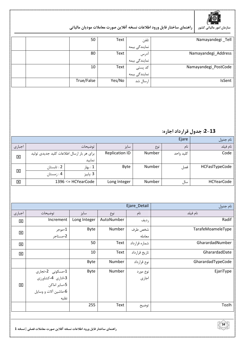

| Namayandegi_Tell     | تلفن                     | Text   | 50         |  |
|----------------------|--------------------------|--------|------------|--|
|                      | نمایندگی بیمه            |        |            |  |
| Namayandegi_Address  | ادرس                     | Text   | 80         |  |
|                      | نمایندگی بیمه            |        |            |  |
| Namayandegi_PostCode |                          | Text   | 10         |  |
|                      | کد پستی<br>نمایندگی بیمه |        |            |  |
| <b>IsSent</b>        | ارسال شد                 | Yes/No | True/False |  |
|                      |                          |        |            |  |

13–2: جدول قرارداد اجاره:

|        | نام جدول                                   |                    |                       |        |           |                   |
|--------|--------------------------------------------|--------------------|-----------------------|--------|-----------|-------------------|
| اجبارى |                                            | توضيحات            | سايز                  | نوع    | نام       | نام فيلد          |
| 区      | برای هر بار ارسال اطلاعات کلید جدیدی تولید |                    | <b>Replication ID</b> | Number | كليد واحد | Code              |
|        |                                            | نماييد             |                       |        |           |                   |
|        | ، 2 : تابستان                              | 1 : بھار           | Byte                  | Number | َ فصل     | HCFasITypeCode    |
| 区      | $\mathcal{L}$ : مستان $4$                  | 3 :پاييز           |                       |        |           |                   |
| 区      |                                            | 1396 <= HCYearCode | Long Integer          | Number | سال       | <b>HCYearCode</b> |

| ِ نام جدول        | Ejare Detail  |            |              |                      |                         |  |
|-------------------|---------------|------------|--------------|----------------------|-------------------------|--|
| نام فيلد          | نام           | نوع        | سايز         | توضيحات              | اجبارى                  |  |
| Radif             | رديف          | AutoNumber | Long Integer | Increment            | 区                       |  |
| TarafeMoameleType | شخص طرف       | Number     | Byte         | 1=موجر<br>2=مستاجر   | $\overline{\mathbf{x}}$ |  |
|                   | معامله        |            |              |                      |                         |  |
| GharardadNumber   | شماره قرارداد | Text       | 50           |                      | 区                       |  |
| GharardadDate     | تاریخ قرارداد | Text       | 10           |                      | 区                       |  |
| GharardadTypeCode | نوع قرارداد   | Number     | Byte         |                      |                         |  |
| EjariType         | نوع مورد      | Number     | Byte         | 1=مسکونی 2=تجاری     |                         |  |
|                   | اجارى         |            |              | 3=اداری 4=کشاورزی    |                         |  |
|                   |               |            |              | 5=ساير اماكن         | $\overline{\mathbf{x}}$ |  |
|                   |               |            |              | 6=ماشين ألات و وسايل |                         |  |
|                   |               |            |              | نقليه                |                         |  |
| Tozih             | توضيح         | Text       | 255          |                      |                         |  |

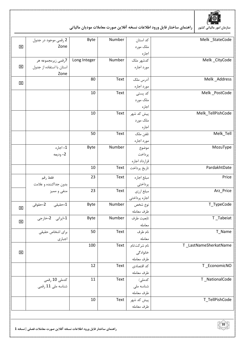

| Melk_StateCode        | کد استان      | Number | Byte         | 2 رقمي موجود در جدول     |   |
|-----------------------|---------------|--------|--------------|--------------------------|---|
|                       | ملک مورد      |        |              | Zone                     | 区 |
|                       | اجاره         |        |              |                          |   |
| Melk_CityCode         | كدشهر ملك     | Number | Long Integer | 7رقمي زيرمجموعه هر       |   |
|                       | مورد اجاره    |        |              | استان با استفاده از جدول | 区 |
|                       |               |        |              | Zone                     |   |
| Melk_Address          | آدرس ملک      | Text   | 80           |                          | 区 |
|                       | مورد اجاره    |        |              |                          |   |
| Melk_PostCode         | کد پستی       | Text   | 10           |                          |   |
|                       | ملک مورد      |        |              |                          |   |
|                       | اجاره         |        |              |                          |   |
| Melk_TellPishCode     | پیش کد شهر    | Text   | 10           |                          |   |
|                       | ملک مورد      |        |              |                          |   |
|                       | اجاره         |        |              |                          |   |
| Melk_Tell             | تلفن ملک      | Text   | 50           |                          |   |
|                       | مورد اجاره    |        |              |                          |   |
| MozuType              | موضوع         | Number | Byte         | 1= اجاره                 |   |
|                       | پرداخت        |        |              | 2= وديعه                 |   |
|                       | قرارداد اجاره |        |              |                          |   |
| PardakhtDate          | تاريخ پرداخت  | Text   | 10           |                          |   |
|                       |               |        |              |                          |   |
| Price                 | مبلغ اجاره    | Text   | 23           | فقط رقم                  |   |
|                       | پرداختی       |        |              | بدون جداكننده و علامت    |   |
| Arz_Price             | مبلغ ارزي     | Text   | 23           | منفى و مميز              |   |
|                       | اجاره پرداختی |        |              |                          |   |
| T_TypeCode            | نوع شخص       | Number | Byte         | 1=حقيقى      2=حقوقى     | 区 |
|                       | طرف معامله    |        |              |                          |   |
| T_Tabeiat             | تابعيت طرف    | Number | Byte         | 1=ايرانى 2=خارجى         |   |
|                       | معامله        |        |              |                          | 区 |
| T_Name                | نام طرف       | Text   | 50           | براي اشخاص حقيقي         |   |
|                       | معامله        |        |              | اجبارى                   |   |
| T_LastNameSherkatName | نام شركت/نام  | Text   | 100          |                          |   |
|                       | خانوادگی      |        |              |                          | 区 |
|                       | طرف معامله    |        |              |                          |   |
| T_EconomicNO          | کد اقتصادی    | Text   | 12           |                          |   |
|                       | طرف معامله    |        |              |                          |   |
| T_NationalCode        | کدملی/        | Text   | 11           | كدملى 10 رقمى            |   |
|                       | شناسه ملی     |        |              | شناسه ملی 11 رقمی        |   |
|                       | طرف معامله    |        |              |                          |   |
| T_TellPishCode        | پیش کد شهر    | Text   | 10           |                          |   |
|                       | طرف معامله    |        |              |                          |   |
|                       |               |        |              |                          |   |